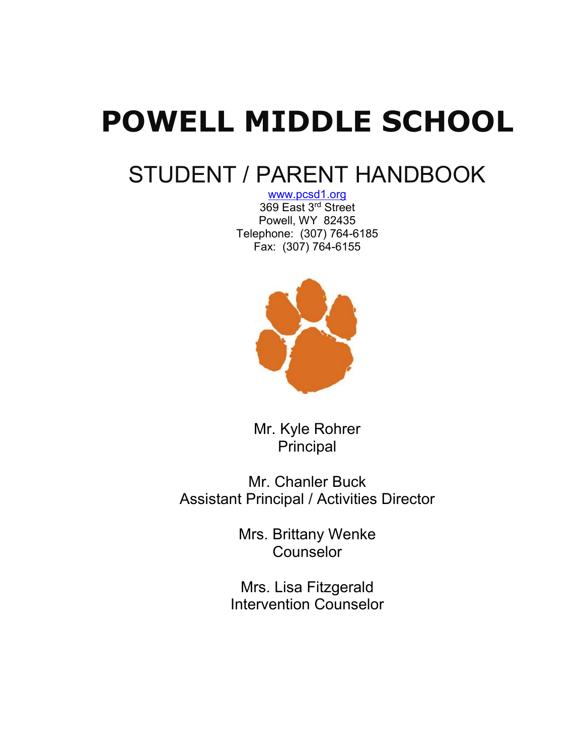# **POWELL MIDDLE SCHOOL**

# STUDENT / PARENT HANDBOOK

[www.pcsd1.org](http://www.pcsd1.org/) 369 East 3rd Street Powell, WY 82435 Telephone: (307) 764-6185 Fax: (307) 764-6155



Mr. Kyle Rohrer Principal

Mr. Chanler Buck Assistant Principal / Activities Director

> Mrs. Brittany Wenke Counselor

Mrs. Lisa Fitzgerald Intervention Counselor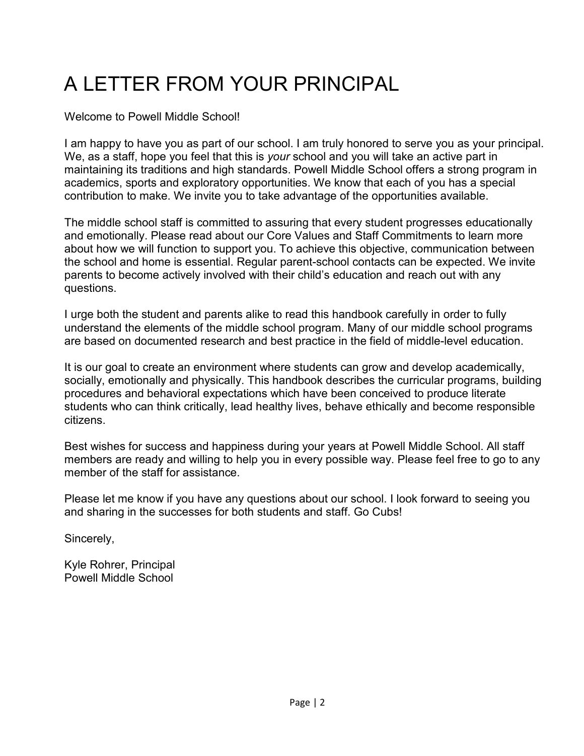# A LETTER FROM YOUR PRINCIPAL

Welcome to Powell Middle School!

I am happy to have you as part of our school. I am truly honored to serve you as your principal. We, as a staff, hope you feel that this is *your* school and you will take an active part in maintaining its traditions and high standards. Powell Middle School offers a strong program in academics, sports and exploratory opportunities. We know that each of you has a special contribution to make. We invite you to take advantage of the opportunities available.

The middle school staff is committed to assuring that every student progresses educationally and emotionally. Please read about our Core Values and Staff Commitments to learn more about how we will function to support you. To achieve this objective, communication between the school and home is essential. Regular parent-school contacts can be expected. We invite parents to become actively involved with their child's education and reach out with any questions.

I urge both the student and parents alike to read this handbook carefully in order to fully understand the elements of the middle school program. Many of our middle school programs are based on documented research and best practice in the field of middle-level education.

It is our goal to create an environment where students can grow and develop academically, socially, emotionally and physically. This handbook describes the curricular programs, building procedures and behavioral expectations which have been conceived to produce literate students who can think critically, lead healthy lives, behave ethically and become responsible citizens.

Best wishes for success and happiness during your years at Powell Middle School. All staff members are ready and willing to help you in every possible way. Please feel free to go to any member of the staff for assistance.

Please let me know if you have any questions about our school. I look forward to seeing you and sharing in the successes for both students and staff. Go Cubs!

Sincerely,

Kyle Rohrer, Principal Powell Middle School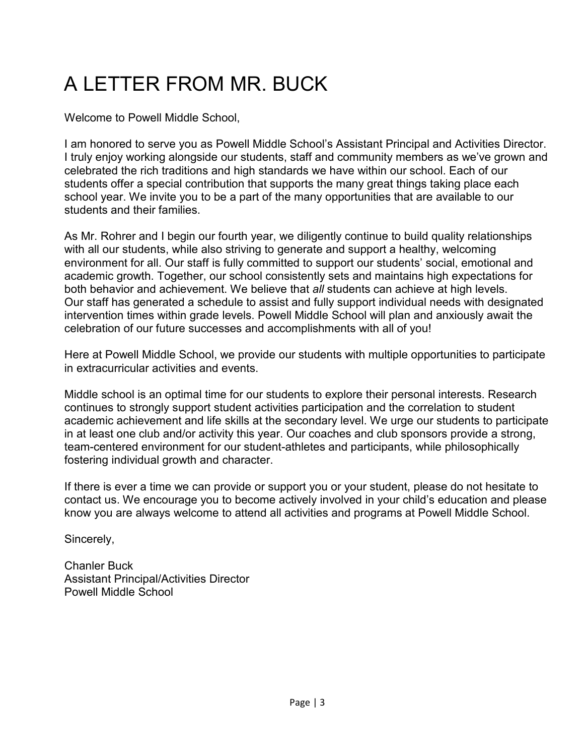# A LETTER FROM MR. BUCK

Welcome to Powell Middle School,

I am honored to serve you as Powell Middle School's Assistant Principal and Activities Director. I truly enjoy working alongside our students, staff and community members as we've grown and celebrated the rich traditions and high standards we have within our school. Each of our students offer a special contribution that supports the many great things taking place each school year. We invite you to be a part of the many opportunities that are available to our students and their families.

As Mr. Rohrer and I begin our fourth year, we diligently continue to build quality relationships with all our students, while also striving to generate and support a healthy, welcoming environment for all. Our staff is fully committed to support our students' social, emotional and academic growth. Together, our school consistently sets and maintains high expectations for both behavior and achievement. We believe that *all* students can achieve at high levels. Our staff has generated a schedule to assist and fully support individual needs with designated intervention times within grade levels. Powell Middle School will plan and anxiously await the celebration of our future successes and accomplishments with all of you!

Here at Powell Middle School, we provide our students with multiple opportunities to participate in extracurricular activities and events.

Middle school is an optimal time for our students to explore their personal interests. Research continues to strongly support student activities participation and the correlation to student academic achievement and life skills at the secondary level. We urge our students to participate in at least one club and/or activity this year. Our coaches and club sponsors provide a strong, team-centered environment for our student-athletes and participants, while philosophically fostering individual growth and character.

If there is ever a time we can provide or support you or your student, please do not hesitate to contact us. We encourage you to become actively involved in your child's education and please know you are always welcome to attend all activities and programs at Powell Middle School.

Sincerely,

Chanler Buck Assistant Principal/Activities Director Powell Middle School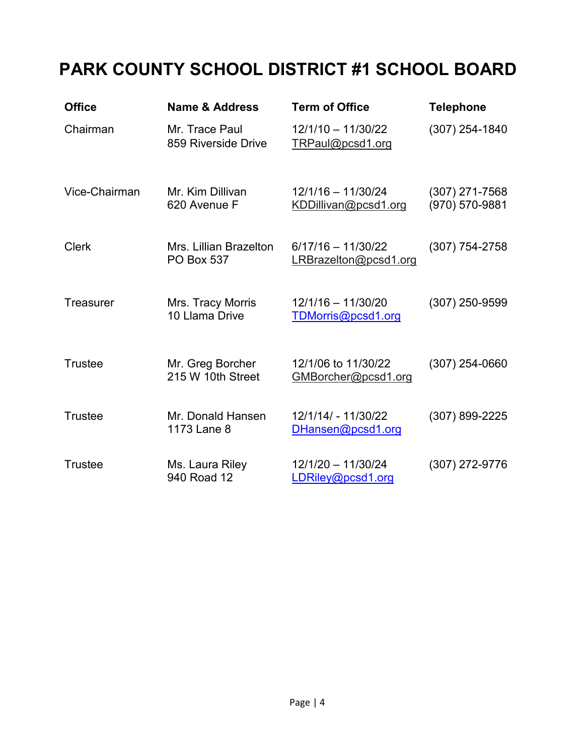# **PARK COUNTY SCHOOL DISTRICT #1 SCHOOL BOARD**

| <b>Office</b>    | <b>Name &amp; Address</b>                   | <b>Term of Office</b>                         | <b>Telephone</b>                 |
|------------------|---------------------------------------------|-----------------------------------------------|----------------------------------|
| Chairman         | Mr. Trace Paul<br>859 Riverside Drive       | $12/1/10 - 11/30/22$<br>TRPaul@pcsd1.org      | $(307)$ 254-1840                 |
| Vice-Chairman    | Mr. Kim Dillivan<br>620 Avenue F            | $12/1/16 - 11/30/24$<br>KDDillivan@pcsd1.org  | (307) 271-7568<br>(970) 570-9881 |
| <b>Clerk</b>     | Mrs. Lillian Brazelton<br><b>PO Box 537</b> | $6/17/16 - 11/30/22$<br>LRBrazelton@pcsd1.org | $(307)$ 754-2758                 |
| <b>Treasurer</b> | Mrs. Tracy Morris<br>10 Llama Drive         | $12/1/16 - 11/30/20$<br>TDMorris@pcsd1.org    | $(307)$ 250-9599                 |
| <b>Trustee</b>   | Mr. Greg Borcher<br>215 W 10th Street       | 12/1/06 to 11/30/22<br>GMBorcher@pcsd1.org    | (307) 254-0660                   |
| <b>Trustee</b>   | Mr. Donald Hansen<br>1173 Lane 8            | 12/1/14/ - 11/30/22<br>DHansen@pcsd1.org      | (307) 899-2225                   |
| <b>Trustee</b>   | Ms. Laura Riley<br>940 Road 12              | $12/1/20 - 11/30/24$<br>LDRiley@pcsd1.org     | (307) 272-9776                   |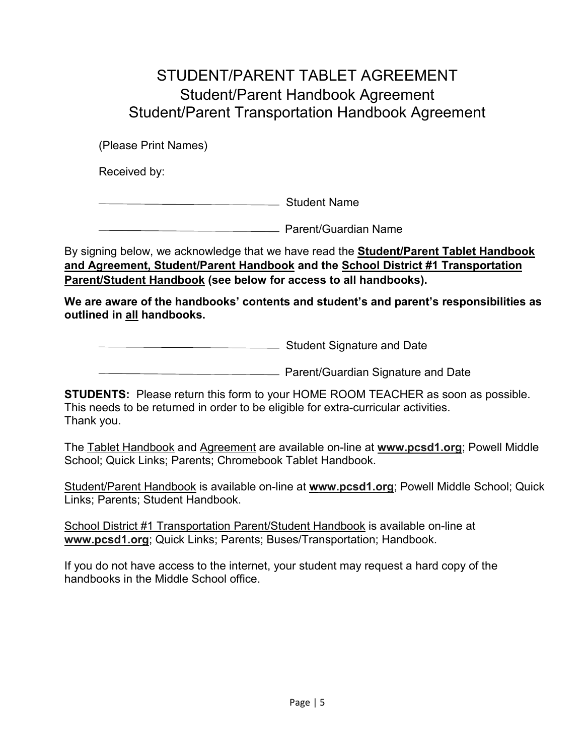# STUDENT/PARENT TABLET AGREEMENT Student/Parent Handbook Agreement Student/Parent Transportation Handbook Agreement

(Please Print Names)

Received by:

**Student Name**<br>
Student Name

**Parent/Guardian Name** Parent/Guardian Name

By signing below, we acknowledge that we have read the **Student/Parent Tablet Handbook and Agreement, Student/Parent Handbook and the School District #1 Transportation Parent/Student Handbook (see below for access to all handbooks).** 

**We are aware of the handbooks' contents and student's and parent's responsibilities as outlined in all handbooks.**

**EXECUTE:** Student Signature and Date

**Parent/Guardian Signature and Date** 

**STUDENTS:** Please return this form to your HOME ROOM TEACHER as soon as possible. This needs to be returned in order to be eligible for extra-curricular activities. Thank you.

The Tablet Handbook and Agreement are available on-line at **[www.pcsd1.org](http://www.pcsd1.org/)**; Powell Middle School; Quick Links; Parents; Chromebook Tablet Handbook.

Student/Parent Handbook is available on-line at **[www.pcsd1.org](http://www.pcsd1.org/)**; Powell Middle School; Quick Links; Parents; Student Handbook.

School District #1 Transportation Parent/Student Handbook is available on-line at **[www.pcsd1.org](http://www.pcsd1.org/)**; Quick Links; Parents; Buses/Transportation; Handbook.

If you do not have access to the internet, your student may request a hard copy of the handbooks in the Middle School office.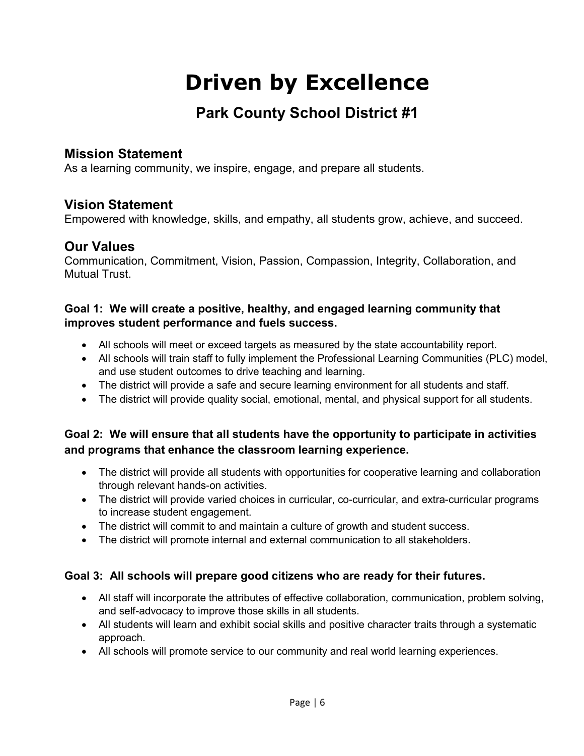# **Driven by Excellence**

# **Park County School District #1**

# **Mission Statement**

As a learning community, we inspire, engage, and prepare all students.

# **Vision Statement**

Empowered with knowledge, skills, and empathy, all students grow, achieve, and succeed.

# **Our Values**

Communication, Commitment, Vision, Passion, Compassion, Integrity, Collaboration, and Mutual Trust.

#### **Goal 1: We will create a positive, healthy, and engaged learning community that improves student performance and fuels success.**

- All schools will meet or exceed targets as measured by the state accountability report.
- All schools will train staff to fully implement the Professional Learning Communities (PLC) model, and use student outcomes to drive teaching and learning.
- The district will provide a safe and secure learning environment for all students and staff.
- The district will provide quality social, emotional, mental, and physical support for all students.

# **Goal 2: We will ensure that all students have the opportunity to participate in activities and programs that enhance the classroom learning experience.**

- The district will provide all students with opportunities for cooperative learning and collaboration through relevant hands-on activities.
- The district will provide varied choices in curricular, co-curricular, and extra-curricular programs to increase student engagement.
- The district will commit to and maintain a culture of growth and student success.
- The district will promote internal and external communication to all stakeholders.

#### **Goal 3: All schools will prepare good citizens who are ready for their futures.**

- All staff will incorporate the attributes of effective collaboration, communication, problem solving, and self-advocacy to improve those skills in all students.
- All students will learn and exhibit social skills and positive character traits through a systematic approach.
- All schools will promote service to our community and real world learning experiences.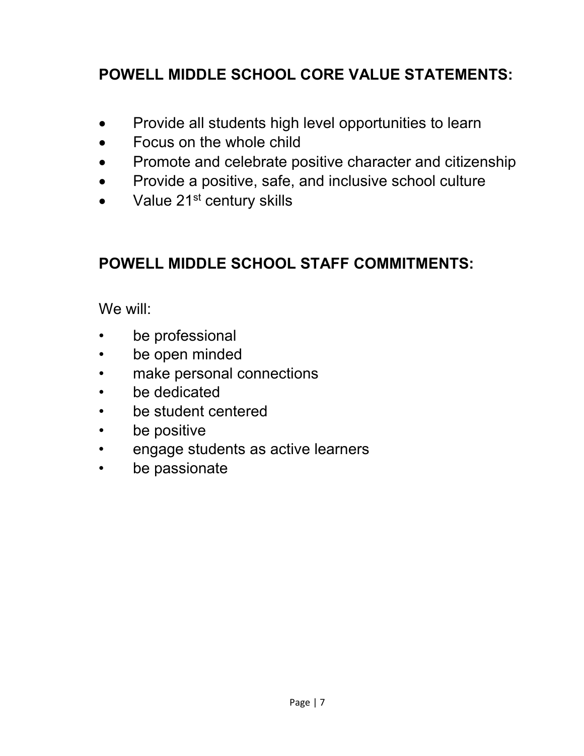# **POWELL MIDDLE SCHOOL CORE VALUE STATEMENTS:**

- Provide all students high level opportunities to learn
- Focus on the whole child
- Promote and celebrate positive character and citizenship
- Provide a positive, safe, and inclusive school culture
- Value  $21<sup>st</sup>$  century skills

# **POWELL MIDDLE SCHOOL STAFF COMMITMENTS:**

We will:

- be professional
- be open minded
- make personal connections
- be dedicated
- be student centered
- be positive
- engage students as active learners
- be passionate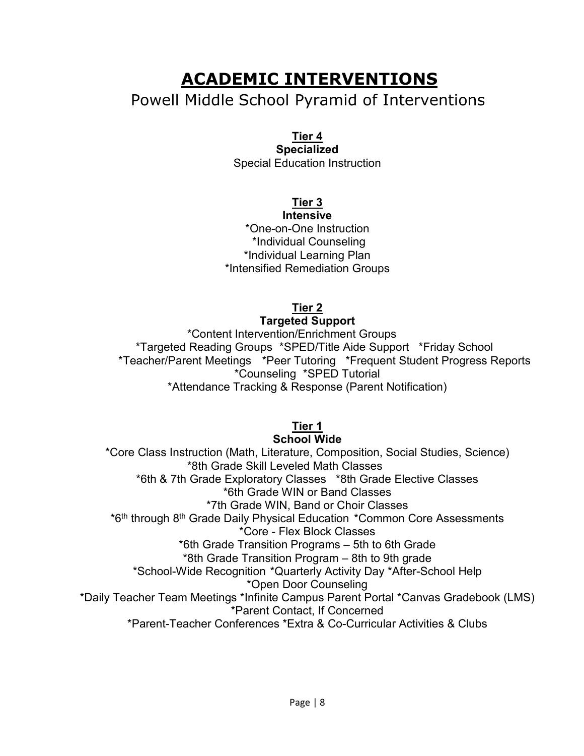# **ACADEMIC INTERVENTIONS**

# Powell Middle School Pyramid of Interventions

#### **Tier 4**

**Specialized** Special Education Instruction

# **Tier 3**

**Intensive** \*One-on-One Instruction \*Individual Counseling \*Individual Learning Plan \*Intensified Remediation Groups

# **Tier 2**

#### **Targeted Support**

\*Content Intervention/Enrichment Groups \*Targeted Reading Groups \*SPED/Title Aide Support \*Friday School \*Teacher/Parent Meetings \*Peer Tutoring \*Frequent Student Progress Reports \*Counseling \*SPED Tutorial \*Attendance Tracking & Response (Parent Notification)

# **Tier 1**

#### **School Wide**

\*Core Class Instruction (Math, Literature, Composition, Social Studies, Science) \*8th Grade Skill Leveled Math Classes \*6th & 7th Grade Exploratory Classes \*8th Grade Elective Classes \*6th Grade WIN or Band Classes \*7th Grade WIN, Band or Choir Classes \*6th through 8th Grade Daily Physical Education \*Common Core Assessments \*Core - Flex Block Classes \*6th Grade Transition Programs – 5th to 6th Grade \*8th Grade Transition Program – 8th to 9th grade \*School-Wide Recognition \*Quarterly Activity Day \*After-School Help \*Open Door Counseling \*Daily Teacher Team Meetings \*Infinite Campus Parent Portal \*Canvas Gradebook (LMS) \*Parent Contact, If Concerned \*Parent-Teacher Conferences \*Extra & Co-Curricular Activities & Clubs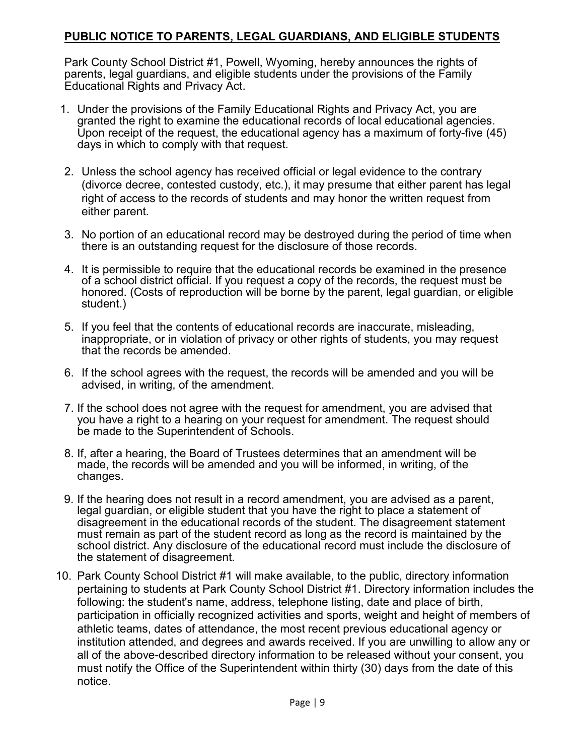#### **PUBLIC NOTICE TO PARENTS, LEGAL GUARDIANS, AND ELIGIBLE STUDENTS**

Park County School District #1, Powell, Wyoming, hereby announces the rights of parents, legal guardians, and eligible students under the provisions of the Family Educational Rights and Privacy Act.

- 1. Under the provisions of the Family Educational Rights and Privacy Act, you are granted the right to examine the educational records of local educational agencies. Upon receipt of the request, the educational agency has a maximum of forty-five (45) days in which to comply with that request.
- 2. Unless the school agency has received official or legal evidence to the contrary (divorce decree, contested custody, etc.), it may presume that either parent has legal right of access to the records of students and may honor the written request from either parent.
- 3. No portion of an educational record may be destroyed during the period of time when there is an outstanding request for the disclosure of those records.
- 4. It is permissible to require that the educational records be examined in the presence of a school district official. If you request a copy of the records, the request must be honored. (Costs of reproduction will be borne by the parent, legal guardian, or eligible student.)
- 5. If you feel that the contents of educational records are inaccurate, misleading, inappropriate, or in violation of privacy or other rights of students, you may request that the records be amended.
- 6. If the school agrees with the request, the records will be amended and you will be advised, in writing, of the amendment.
- 7. If the school does not agree with the request for amendment, you are advised that you have a right to a hearing on your request for amendment. The request should be made to the Superintendent of Schools.
- 8. If, after a hearing, the Board of Trustees determines that an amendment will be made, the records will be amended and you will be informed, in writing, of the changes.
- 9. If the hearing does not result in a record amendment, you are advised as a parent, legal guardian, or eligible student that you have the right to place a statement of disagreement in the educational records of the student. The disagreement statement must remain as part of the student record as long as the record is maintained by the school district. Any disclosure of the educational record must include the disclosure of the statement of disagreement.
- 10. Park County School District #1 will make available, to the public, directory information pertaining to students at Park County School District #1. Directory information includes the following: the student's name, address, telephone listing, date and place of birth, participation in officially recognized activities and sports, weight and height of members of athletic teams, dates of attendance, the most recent previous educational agency or institution attended, and degrees and awards received. If you are unwilling to allow any or all of the above-described directory information to be released without your consent, you must notify the Office of the Superintendent within thirty (30) days from the date of this notice.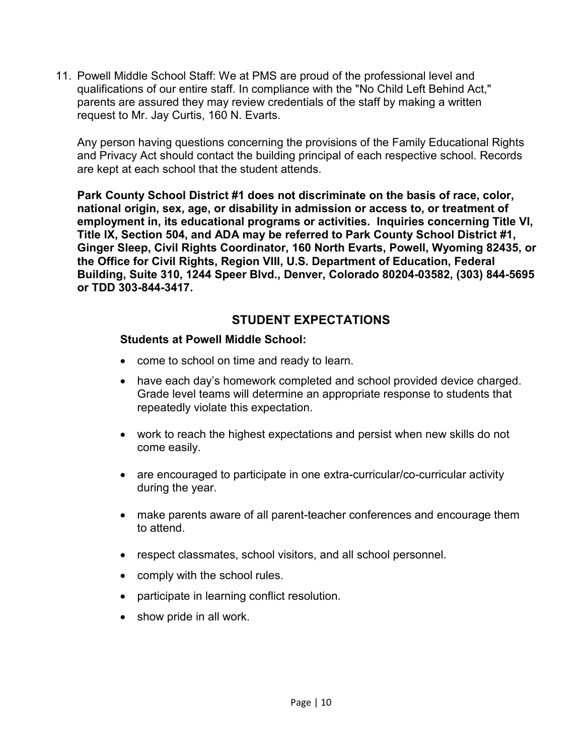11. Powell Middle School Staff: We at PMS are proud of the professional level and qualifications of our entire staff. In compliance with the "No Child Left Behind Act," parents are assured they may review credentials of the staff by making a written request to Mr. Jay Curtis, 160 N. Evarts.

Any person having questions concerning the provisions of the Family Educational Rights and Privacy Act should contact the building principal of each respective school. Records are kept at each school that the student attends.

**Park County School District #1 does not discriminate on the basis of race, color, national origin, sex, age, or disability in admission or access to, or treatment of employment in, its educational programs or activities. Inquiries concerning Title VI, Title IX, Section 504, and ADA may be referred to Park County School District #1, Ginger Sleep, Civil Rights Coordinator, 160 North Evarts, Powell, Wyoming 82435, or the Office for Civil Rights, Region VIII, U.S. Department of Education, Federal Building, Suite 310, 1244 Speer Blvd., Denver, Colorado 80204-03582, (303) 844-5695 or TDD 303-844-3417.**

# **STUDENT EXPECTATIONS**

#### **Students at Powell Middle School:**

- come to school on time and ready to learn.
- have each day's homework completed and school provided device charged. Grade level teams will determine an appropriate response to students that repeatedly violate this expectation.
- work to reach the highest expectations and persist when new skills do not come easily.
- are encouraged to participate in one extra-curricular/co-curricular activity during the year.
- make parents aware of all parent-teacher conferences and encourage them to attend.
- respect classmates, school visitors, and all school personnel.
- comply with the school rules.
- participate in learning conflict resolution.
- show pride in all work.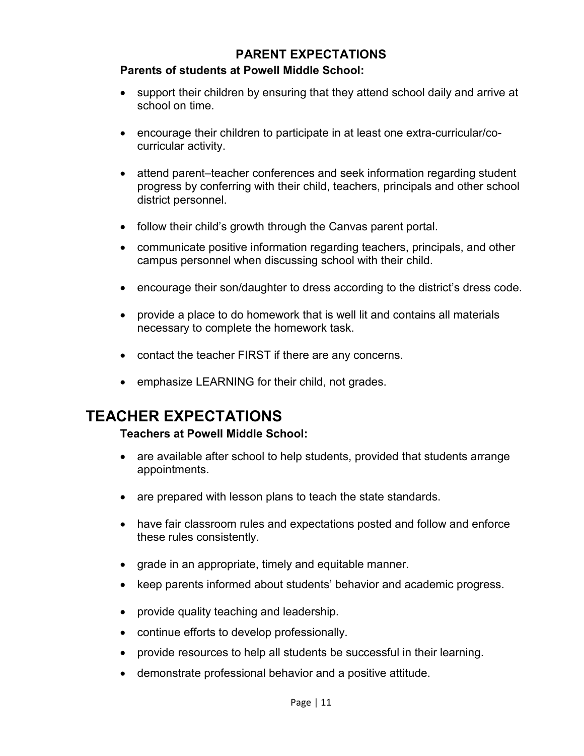### **PARENT EXPECTATIONS**

#### **Parents of students at Powell Middle School:**

- support their children by ensuring that they attend school daily and arrive at school on time.
- encourage their children to participate in at least one extra-curricular/cocurricular activity.
- attend parent–teacher conferences and seek information regarding student progress by conferring with their child, teachers, principals and other school district personnel.
- follow their child's growth through the Canvas parent portal.
- communicate positive information regarding teachers, principals, and other campus personnel when discussing school with their child.
- encourage their son/daughter to dress according to the district's dress code.
- provide a place to do homework that is well lit and contains all materials necessary to complete the homework task.
- contact the teacher FIRST if there are any concerns.
- emphasize LEARNING for their child, not grades.

# **TEACHER EXPECTATIONS**

#### **Teachers at Powell Middle School:**

- are available after school to help students, provided that students arrange appointments.
- are prepared with lesson plans to teach the state standards.
- have fair classroom rules and expectations posted and follow and enforce these rules consistently.
- grade in an appropriate, timely and equitable manner.
- keep parents informed about students' behavior and academic progress.
- provide quality teaching and leadership.
- continue efforts to develop professionally.
- provide resources to help all students be successful in their learning.
- demonstrate professional behavior and a positive attitude.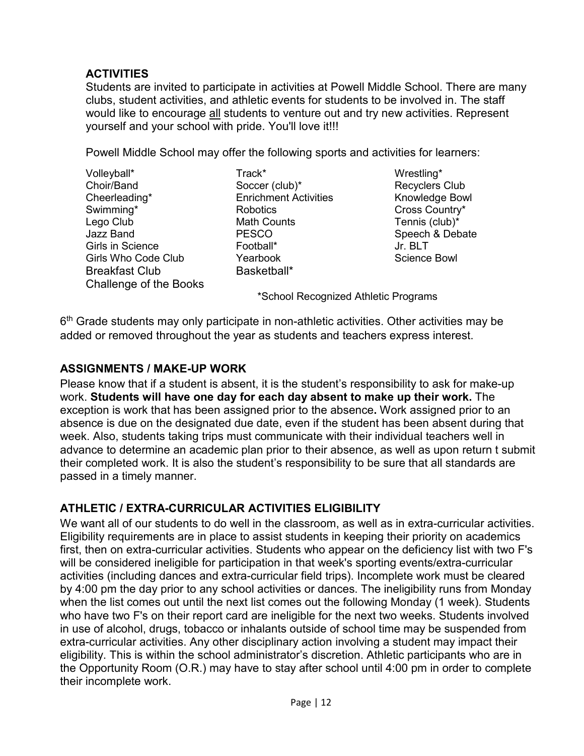### **ACTIVITIES**

Students are invited to participate in activities at Powell Middle School. There are many clubs, student activities, and athletic events for students to be involved in. The staff would like to encourage all students to venture out and try new activities. Represent yourself and your school with pride. You'll love it!!!

Powell Middle School may offer the following sports and activities for learners:

Volleyball\* Track\* Wrestling\* Choir/Band Soccer (club)\* Choir/Band Soccer (club)\* Recyclers Club<br>
Cheerleading\* Enrichment Activities Knowledge Bowl Swimming\* Robotics Cross Country\* Lego Club Math Counts Tennis (club)\* Girls in Science Football\* Jr. BLT Girls Who Code Club The Yearbook<br>Breakfast Club Basketball\* Breakfast Club Challenge of the Books

Enrichment Activities

PESCO Speech & Debate<br>Football\* Jr BIT

\*School Recognized Athletic Programs

 $6<sup>th</sup>$  Grade students may only participate in non-athletic activities. Other activities may be added or removed throughout the year as students and teachers express interest.

# **ASSIGNMENTS / MAKE-UP WORK**

Please know that if a student is absent, it is the student's responsibility to ask for make-up work. **Students will have one day for each day absent to make up their work.** The exception is work that has been assigned prior to the absence**.** Work assigned prior to an absence is due on the designated due date, even if the student has been absent during that week. Also, students taking trips must communicate with their individual teachers well in advance to determine an academic plan prior to their absence, as well as upon return t submit their completed work. It is also the student's responsibility to be sure that all standards are passed in a timely manner.

# **ATHLETIC / EXTRA-CURRICULAR ACTIVITIES ELIGIBILITY**

We want all of our students to do well in the classroom, as well as in extra-curricular activities. Eligibility requirements are in place to assist students in keeping their priority on academics first, then on extra-curricular activities. Students who appear on the deficiency list with two F's will be considered ineligible for participation in that week's sporting events/extra-curricular activities (including dances and extra-curricular field trips). Incomplete work must be cleared by 4:00 pm the day prior to any school activities or dances. The ineligibility runs from Monday when the list comes out until the next list comes out the following Monday (1 week). Students who have two F's on their report card are ineligible for the next two weeks. Students involved in use of alcohol, drugs, tobacco or inhalants outside of school time may be suspended from extra-curricular activities. Any other disciplinary action involving a student may impact their eligibility. This is within the school administrator's discretion. Athletic participants who are in the Opportunity Room (O.R.) may have to stay after school until 4:00 pm in order to complete their incomplete work.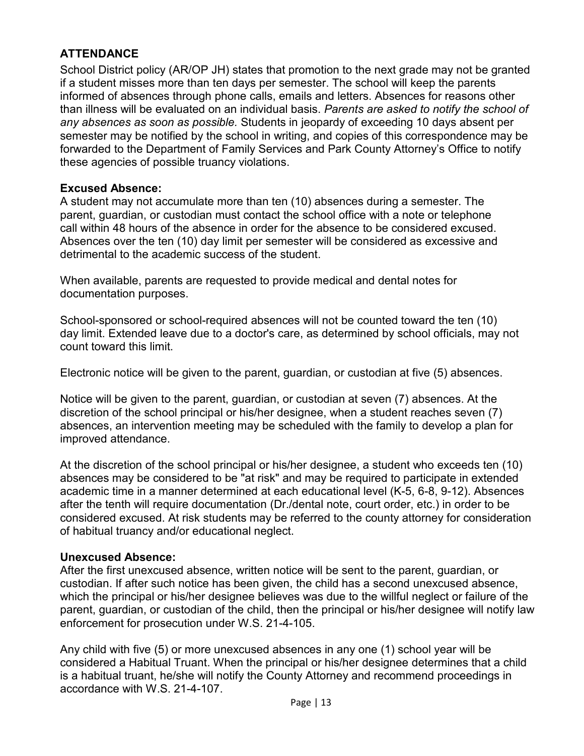### **ATTENDANCE**

School District policy (AR/OP JH) states that promotion to the next grade may not be granted if a student misses more than ten days per semester. The school will keep the parents informed of absences through phone calls, emails and letters. Absences for reasons other than illness will be evaluated on an individual basis. *Parents are asked to notify the school of any absences as soon as possible.* Students in jeopardy of exceeding 10 days absent per semester may be notified by the school in writing, and copies of this correspondence may be forwarded to the Department of Family Services and Park County Attorney's Office to notify these agencies of possible truancy violations.

#### **Excused Absence:**

A student may not accumulate more than ten (10) absences during a semester. The parent, guardian, or custodian must contact the school office with a note or telephone call within 48 hours of the absence in order for the absence to be considered excused. Absences over the ten (10) day limit per semester will be considered as excessive and detrimental to the academic success of the student.

When available, parents are requested to provide medical and dental notes for documentation purposes.

School-sponsored or school-required absences will not be counted toward the ten (10) day limit. Extended leave due to a doctor's care, as determined by school officials, may not count toward this limit.

Electronic notice will be given to the parent, guardian, or custodian at five (5) absences.

Notice will be given to the parent, guardian, or custodian at seven (7) absences. At the discretion of the school principal or his/her designee, when a student reaches seven (7) absences, an intervention meeting may be scheduled with the family to develop a plan for improved attendance.

At the discretion of the school principal or his/her designee, a student who exceeds ten (10) absences may be considered to be "at risk" and may be required to participate in extended academic time in a manner determined at each educational level (K-5, 6-8, 9-12). Absences after the tenth will require documentation (Dr./dental note, court order, etc.) in order to be considered excused. At risk students may be referred to the county attorney for consideration of habitual truancy and/or educational neglect.

#### **Unexcused Absence:**

After the first unexcused absence, written notice will be sent to the parent, guardian, or custodian. If after such notice has been given, the child has a second unexcused absence, which the principal or his/her designee believes was due to the willful neglect or failure of the parent, guardian, or custodian of the child, then the principal or his/her designee will notify law enforcement for prosecution under W.S. 21-4-105.

Any child with five (5) or more unexcused absences in any one (1) school year will be considered a Habitual Truant. When the principal or his/her designee determines that a child is a habitual truant, he/she will notify the County Attorney and recommend proceedings in accordance with W.S. 21-4-107.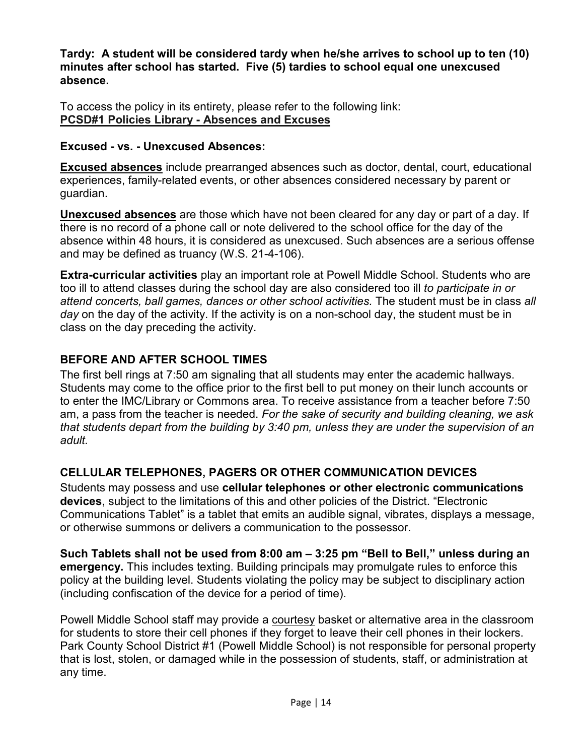**Tardy: A student will be considered tardy when he/she arrives to school up to ten (10) minutes after school has started. Five (5) tardies to school equal one unexcused absence.**

To access the policy in its entirety, please refer to the following link: **[PCSD#1 Policies Library -](https://drive.google.com/drive/folders/0B_jM9DxWhrXlQXppd3hTalhqdGc) Absences and Excuses**

#### **Excused - vs. - Unexcused Absences:**

**Excused absences** include prearranged absences such as doctor, dental, court, educational experiences, family-related events, or other absences considered necessary by parent or guardian.

**Unexcused absences** are those which have not been cleared for any day or part of a day. If there is no record of a phone call or note delivered to the school office for the day of the absence within 48 hours, it is considered as unexcused. Such absences are a serious offense and may be defined as truancy (W.S. 21-4-106).

**Extra-curricular activities** play an important role at Powell Middle School. Students who are too ill to attend classes during the school day are also considered too ill *to participate in or attend concerts, ball games, dances or other school activities.* The student must be in class *all day* on the day of the activity. If the activity is on a non-school day, the student must be in class on the day preceding the activity.

#### **BEFORE AND AFTER SCHOOL TIMES**

The first bell rings at 7:50 am signaling that all students may enter the academic hallways. Students may come to the office prior to the first bell to put money on their lunch accounts or to enter the IMC/Library or Commons area. To receive assistance from a teacher before 7:50 am, a pass from the teacher is needed. *For the sake of security and building cleaning, we ask that students depart from the building by 3:40 pm, unless they are under the supervision of an adult.* 

# **CELLULAR TELEPHONES, PAGERS OR OTHER COMMUNICATION DEVICES**

Students may possess and use **cellular telephones or other electronic communications devices**, subject to the limitations of this and other policies of the District. "Electronic Communications Tablet" is a tablet that emits an audible signal, vibrates, displays a message, or otherwise summons or delivers a communication to the possessor.

**Such Tablets shall not be used from 8:00 am – 3:25 pm "Bell to Bell," unless during an emergency.** This includes texting. Building principals may promulgate rules to enforce this policy at the building level. Students violating the policy may be subject to disciplinary action (including confiscation of the device for a period of time).

Powell Middle School staff may provide a courtesy basket or alternative area in the classroom for students to store their cell phones if they forget to leave their cell phones in their lockers. Park County School District #1 (Powell Middle School) is not responsible for personal property that is lost, stolen, or damaged while in the possession of students, staff, or administration at any time.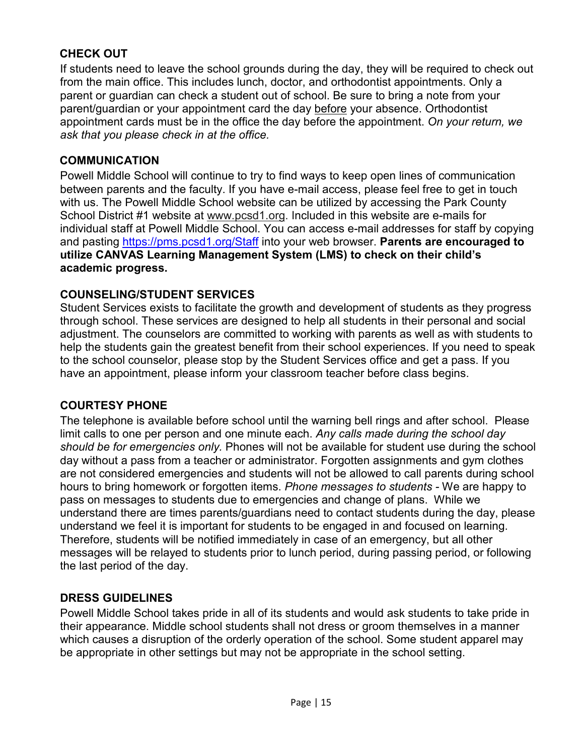# **CHECK OUT**

If students need to leave the school grounds during the day, they will be required to check out from the main office. This includes lunch, doctor, and orthodontist appointments. Only a parent or guardian can check a student out of school. Be sure to bring a note from your parent/guardian or your appointment card the day before your absence. Orthodontist appointment cards must be in the office the day before the appointment. *On your return, we ask that you please check in at the office.*

#### **COMMUNICATION**

Powell Middle School will continue to try to find ways to keep open lines of communication between parents and the faculty. If you have e-mail access, please feel free to get in touch with us. The Powell Middle School website can be utilized by accessing the Park County School District #1 website at [www.pcsd1.org.](http://www.pcsd1.org/) Included in this website are e-mails for individual staff at Powell Middle School. You can access e-mail addresses for staff by copying and pasting<https://pms.pcsd1.org/Staff> into your web browser. **Parents are encouraged to utilize CANVAS Learning Management System (LMS) to check on their child's academic progress.**

# **COUNSELING/STUDENT SERVICES**

Student Services exists to facilitate the growth and development of students as they progress through school. These services are designed to help all students in their personal and social adjustment. The counselors are committed to working with parents as well as with students to help the students gain the greatest benefit from their school experiences. If you need to speak to the school counselor, please stop by the Student Services office and get a pass. If you have an appointment, please inform your classroom teacher before class begins.

#### **COURTESY PHONE**

The telephone is available before school until the warning bell rings and after school. Please limit calls to one per person and one minute each. *Any calls made during the school day should be for emergencies only.* Phones will not be available for student use during the school day without a pass from a teacher or administrator. Forgotten assignments and gym clothes are not considered emergencies and students will not be allowed to call parents during school hours to bring homework or forgotten items. *Phone messages to students -* We are happy to pass on messages to students due to emergencies and change of plans. While we understand there are times parents/guardians need to contact students during the day, please understand we feel it is important for students to be engaged in and focused on learning. Therefore, students will be notified immediately in case of an emergency, but all other messages will be relayed to students prior to lunch period, during passing period, or following the last period of the day.

# **DRESS GUIDELINES**

Powell Middle School takes pride in all of its students and would ask students to take pride in their appearance. Middle school students shall not dress or groom themselves in a manner which causes a disruption of the orderly operation of the school. Some student apparel may be appropriate in other settings but may not be appropriate in the school setting.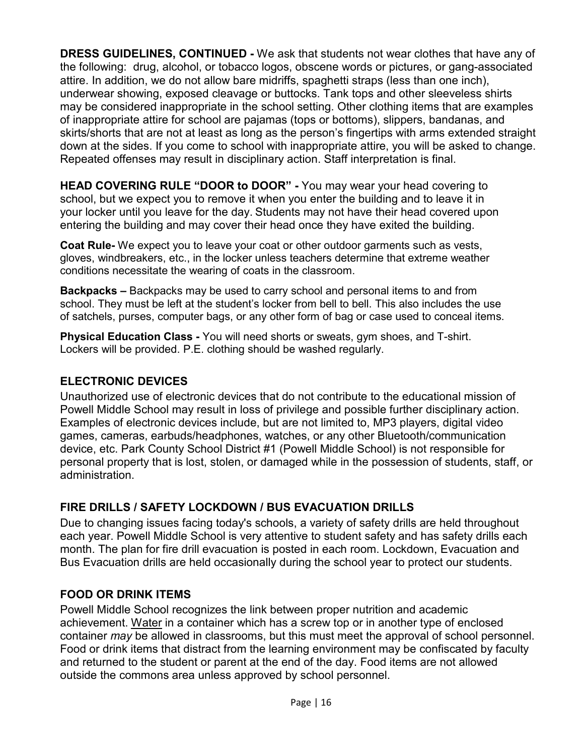**DRESS GUIDELINES, CONTINUED -** We ask that students not wear clothes that have any of the following: drug, alcohol, or tobacco logos, obscene words or pictures, or gang-associated attire. In addition, we do not allow bare midriffs, spaghetti straps (less than one inch), underwear showing, exposed cleavage or buttocks. Tank tops and other sleeveless shirts may be considered inappropriate in the school setting. Other clothing items that are examples of inappropriate attire for school are pajamas (tops or bottoms), slippers, bandanas, and skirts/shorts that are not at least as long as the person's fingertips with arms extended straight down at the sides. If you come to school with inappropriate attire, you will be asked to change. Repeated offenses may result in disciplinary action. Staff interpretation is final.

**HEAD COVERING RULE "DOOR to DOOR" -** You may wear your head covering to school, but we expect you to remove it when you enter the building and to leave it in your locker until you leave for the day. Students may not have their head covered upon entering the building and may cover their head once they have exited the building.

**Coat Rule-** We expect you to leave your coat or other outdoor garments such as vests, gloves, windbreakers, etc., in the locker unless teachers determine that extreme weather conditions necessitate the wearing of coats in the classroom.

**Backpacks –** Backpacks may be used to carry school and personal items to and from school. They must be left at the student's locker from bell to bell. This also includes the use of satchels, purses, computer bags, or any other form of bag or case used to conceal items.

**Physical Education Class -** You will need shorts or sweats, gym shoes, and T-shirt. Lockers will be provided. P.E. clothing should be washed regularly.

#### **ELECTRONIC DEVICES**

Unauthorized use of electronic devices that do not contribute to the educational mission of Powell Middle School may result in loss of privilege and possible further disciplinary action. Examples of electronic devices include, but are not limited to, MP3 players, digital video games, cameras, earbuds/headphones, watches, or any other Bluetooth/communication device, etc. Park County School District #1 (Powell Middle School) is not responsible for personal property that is lost, stolen, or damaged while in the possession of students, staff, or administration.

# **FIRE DRILLS / SAFETY LOCKDOWN / BUS EVACUATION DRILLS**

Due to changing issues facing today's schools, a variety of safety drills are held throughout each year. Powell Middle School is very attentive to student safety and has safety drills each month. The plan for fire drill evacuation is posted in each room. Lockdown, Evacuation and Bus Evacuation drills are held occasionally during the school year to protect our students.

#### **FOOD OR DRINK ITEMS**

Powell Middle School recognizes the link between proper nutrition and academic achievement. Water in a container which has a screw top or in another type of enclosed container *may* be allowed in classrooms, but this must meet the approval of school personnel. Food or drink items that distract from the learning environment may be confiscated by faculty and returned to the student or parent at the end of the day. Food items are not allowed outside the commons area unless approved by school personnel.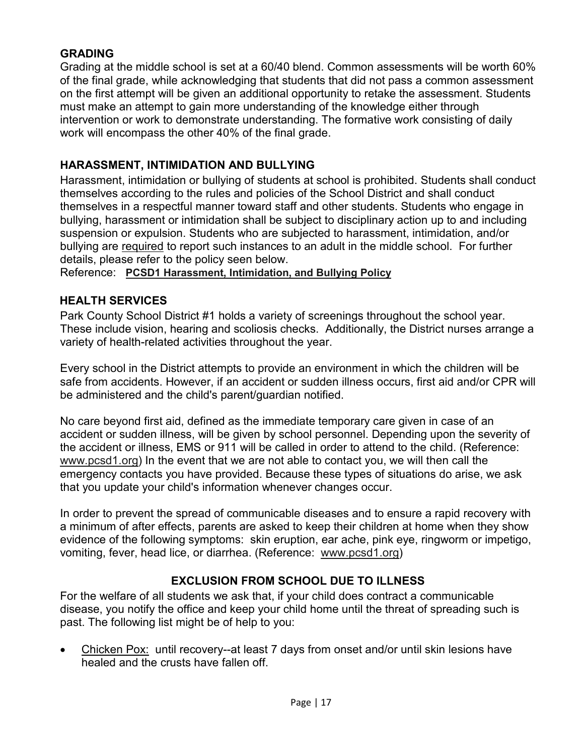#### **GRADING**

Grading at the middle school is set at a 60/40 blend. Common assessments will be worth 60% of the final grade, while acknowledging that students that did not pass a common assessment on the first attempt will be given an additional opportunity to retake the assessment. Students must make an attempt to gain more understanding of the knowledge either through intervention or work to demonstrate understanding. The formative work consisting of daily work will encompass the other 40% of the final grade.

### **HARASSMENT, INTIMIDATION AND BULLYING**

Harassment, intimidation or bullying of students at school is prohibited. Students shall conduct themselves according to the rules and policies of the School District and shall conduct themselves in a respectful manner toward staff and other students. Students who engage in bullying, harassment or intimidation shall be subject to disciplinary action up to and including suspension or expulsion. Students who are subjected to harassment, intimidation, and/or bullying are required to report such instances to an adult in the middle school. For further details, please refer to the policy seen below.

Reference: **[PCSD1 Harassment, Intimidation, and Bullying Policy](https://drive.google.com/drive/folders/0B_jM9DxWhrXlQXppd3hTalhqdGc)**

#### **HEALTH SERVICES**

Park County School District #1 holds a variety of screenings throughout the school year. These include vision, hearing and scoliosis checks. Additionally, the District nurses arrange a variety of health-related activities throughout the year.

Every school in the District attempts to provide an environment in which the children will be safe from accidents. However, if an accident or sudden illness occurs, first aid and/or CPR will be administered and the child's parent/guardian notified.

No care beyond first aid, defined as the immediate temporary care given in case of an accident or sudden illness, will be given by school personnel. Depending upon the severity of the accident or illness, EMS or 911 will be called in order to attend to the child. (Reference: [www.pcsd1.org\)](http://www.pcsd1.org/) In the event that we are not able to contact you, we will then call the emergency contacts you have provided. Because these types of situations do arise, we ask that you update your child's information whenever changes occur.

In order to prevent the spread of communicable diseases and to ensure a rapid recovery with a minimum of after effects, parents are asked to keep their children at home when they show evidence of the following symptoms: skin eruption, ear ache, pink eye, ringworm or impetigo, vomiting, fever, head lice, or diarrhea. (Reference: [www.pcsd1.org\)](http://www.pcsd1.org/)

# **EXCLUSION FROM SCHOOL DUE TO ILLNESS**

For the welfare of all students we ask that, if your child does contract a communicable disease, you notify the office and keep your child home until the threat of spreading such is past. The following list might be of help to you:

• Chicken Pox: until recovery--at least 7 days from onset and/or until skin lesions have healed and the crusts have fallen off.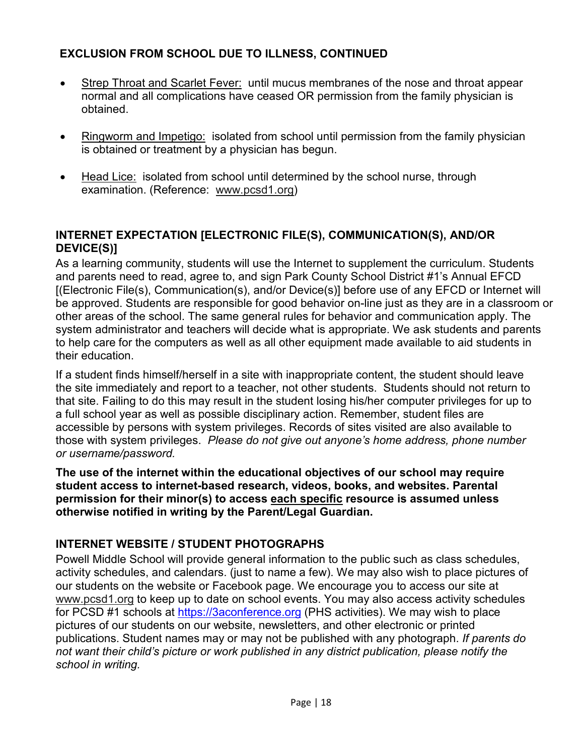# **EXCLUSION FROM SCHOOL DUE TO ILLNESS, CONTINUED**

- Strep Throat and Scarlet Fever: until mucus membranes of the nose and throat appear normal and all complications have ceased OR permission from the family physician is obtained.
- Ringworm and Impetigo: isolated from school until permission from the family physician is obtained or treatment by a physician has begun.
- Head Lice: isolated from school until determined by the school nurse, through examination. (Reference: [www.pcsd1.org\)](http://www.pcsd1.org/)

### **INTERNET EXPECTATION [ELECTRONIC FILE(S), COMMUNICATION(S), AND/OR DEVICE(S)]**

As a learning community, students will use the Internet to supplement the curriculum. Students and parents need to read, agree to, and sign Park County School District #1's Annual EFCD [(Electronic File(s), Communication(s), and/or Device(s)] before use of any EFCD or Internet will be approved. Students are responsible for good behavior on-line just as they are in a classroom or other areas of the school. The same general rules for behavior and communication apply. The system administrator and teachers will decide what is appropriate. We ask students and parents to help care for the computers as well as all other equipment made available to aid students in their education.

If a student finds himself/herself in a site with inappropriate content, the student should leave the site immediately and report to a teacher, not other students. Students should not return to that site. Failing to do this may result in the student losing his/her computer privileges for up to a full school year as well as possible disciplinary action. Remember, student files are accessible by persons with system privileges. Records of sites visited are also available to those with system privileges. *Please do not give out anyone's home address, phone number or username/password.*

**The use of the internet within the educational objectives of our school may require student access to internet-based research, videos, books, and websites. Parental permission for their minor(s) to access each specific resource is assumed unless otherwise notified in writing by the Parent/Legal Guardian.**

# **INTERNET WEBSITE / STUDENT PHOTOGRAPHS**

Powell Middle School will provide general information to the public such as class schedules, activity schedules, and calendars. (just to name a few). We may also wish to place pictures of our students on the website or Facebook page. We encourage you to access our site at [www.pcsd1.org](http://www.pcsd1.org/) to keep up to date on school events. You may also access activity schedules for PCSD #1 schools at [https://3aconference.org](https://www.3aconference.org/g5-bin/client.cgi?G5genie=728) (PHS activities). We may wish to place pictures of our students on our website, newsletters, and other electronic or printed publications. Student names may or may not be published with any photograph. *If parents do not want their child's picture or work published in any district publication, please notify the school in writing.*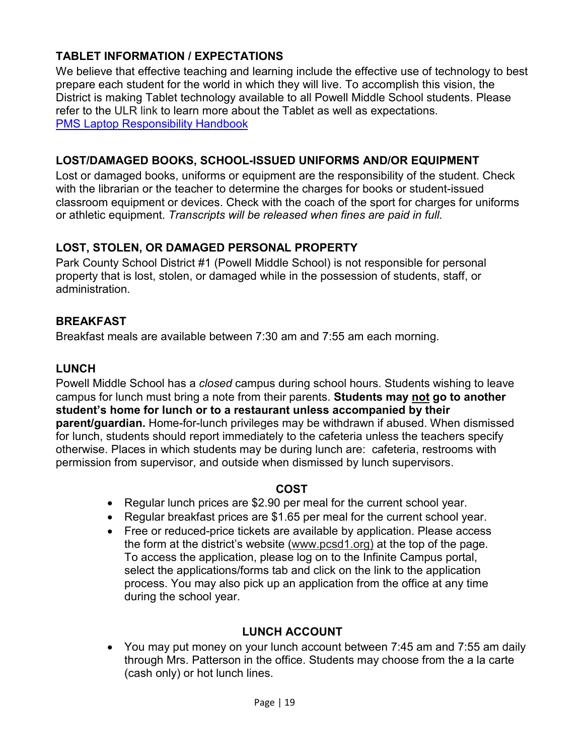# **TABLET INFORMATION / EXPECTATIONS**

We believe that effective teaching and learning include the effective use of technology to best prepare each student for the world in which they will live. To accomplish this vision, the District is making Tablet technology available to all Powell Middle School students. Please refer to the ULR link to learn more about the Tablet as well as expectations. [PMS Laptop Responsibility Handbook](https://tb2cdn.schoolwebmasters.com/accnt_311585/site_319113/Chromebook%20Tablet%20Handbook%20-%20Powell%20MS%20-%20Park%201.pdf)

# **LOST/DAMAGED BOOKS, SCHOOL-ISSUED UNIFORMS AND/OR EQUIPMENT**

Lost or damaged books, uniforms or equipment are the responsibility of the student. Check with the librarian or the teacher to determine the charges for books or student-issued classroom equipment or devices. Check with the coach of the sport for charges for uniforms or athletic equipment. *Transcripts will be released when fines are paid in full.*

# **LOST, STOLEN, OR DAMAGED PERSONAL PROPERTY**

Park County School District #1 (Powell Middle School) is not responsible for personal property that is lost, stolen, or damaged while in the possession of students, staff, or administration.

# **BREAKFAST**

Breakfast meals are available between 7:30 am and 7:55 am each morning.

# **LUNCH**

Powell Middle School has a *closed* campus during school hours. Students wishing to leave campus for lunch must bring a note from their parents. **Students may not go to another student's home for lunch or to a restaurant unless accompanied by their parent/guardian.** Home-for-lunch privileges may be withdrawn if abused. When dismissed for lunch, students should report immediately to the cafeteria unless the teachers specify otherwise. Places in which students may be during lunch are: cafeteria, restrooms with permission from supervisor, and outside when dismissed by lunch supervisors.

# **COST**

- Regular lunch prices are \$2.90 per meal for the current school year.
- Regular breakfast prices are \$1.65 per meal for the current school year.
- Free or reduced-price tickets are available by application. Please access the form at the district's website [\(www.pcsd1.org\)](http://www.pcsd1.org/) at the top of the page. To access the application, please log on to the Infinite Campus portal, select the applications/forms tab and click on the link to the application process. You may also pick up an application from the office at any time during the school year.

# **LUNCH ACCOUNT**

• You may put money on your lunch account between 7:45 am and 7:55 am daily through Mrs. Patterson in the office. Students may choose from the a la carte (cash only) or hot lunch lines.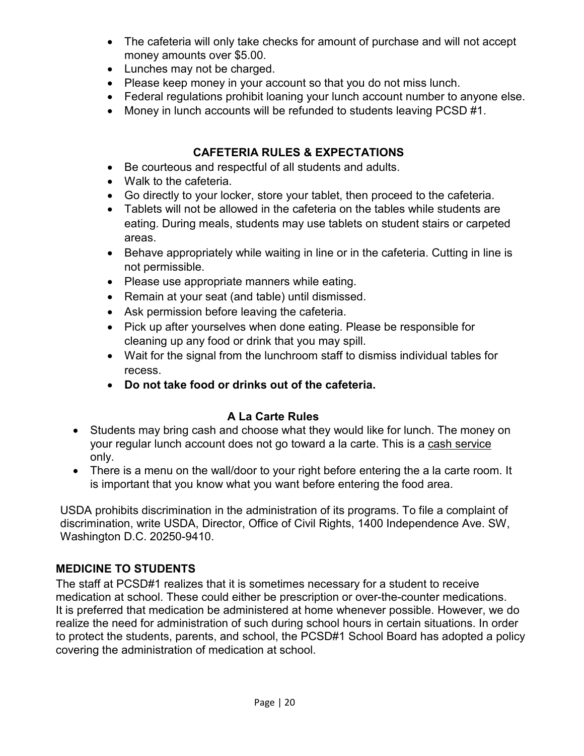- The cafeteria will only take checks for amount of purchase and will not accept money amounts over \$5.00.
- Lunches may not be charged.
- Please keep money in your account so that you do not miss lunch.
- Federal regulations prohibit loaning your lunch account number to anyone else.
- Money in lunch accounts will be refunded to students leaving PCSD #1.

# **CAFETERIA RULES & EXPECTATIONS**

- Be courteous and respectful of all students and adults.
- Walk to the cafeteria.
- Go directly to your locker, store your tablet, then proceed to the cafeteria.
- Tablets will not be allowed in the cafeteria on the tables while students are eating. During meals, students may use tablets on student stairs or carpeted areas.
- Behave appropriately while waiting in line or in the cafeteria. Cutting in line is not permissible.
- Please use appropriate manners while eating.
- Remain at your seat (and table) until dismissed.
- Ask permission before leaving the cafeteria.
- Pick up after yourselves when done eating. Please be responsible for cleaning up any food or drink that you may spill.
- Wait for the signal from the lunchroom staff to dismiss individual tables for recess.
- **Do not take food or drinks out of the cafeteria.**

# **A La Carte Rules**

- Students may bring cash and choose what they would like for lunch. The money on your regular lunch account does not go toward a la carte. This is a cash service only.
- There is a menu on the wall/door to your right before entering the a la carte room. It is important that you know what you want before entering the food area.

USDA prohibits discrimination in the administration of its programs. To file a complaint of discrimination, write USDA, Director, Office of Civil Rights, 1400 Independence Ave. SW, Washington D.C. 20250-9410.

# **MEDICINE TO STUDENTS**

The staff at PCSD#1 realizes that it is sometimes necessary for a student to receive medication at school. These could either be prescription or over-the-counter medications. It is preferred that medication be administered at home whenever possible. However, we do realize the need for administration of such during school hours in certain situations. In order to protect the students, parents, and school, the PCSD#1 School Board has adopted a policy covering the administration of medication at school.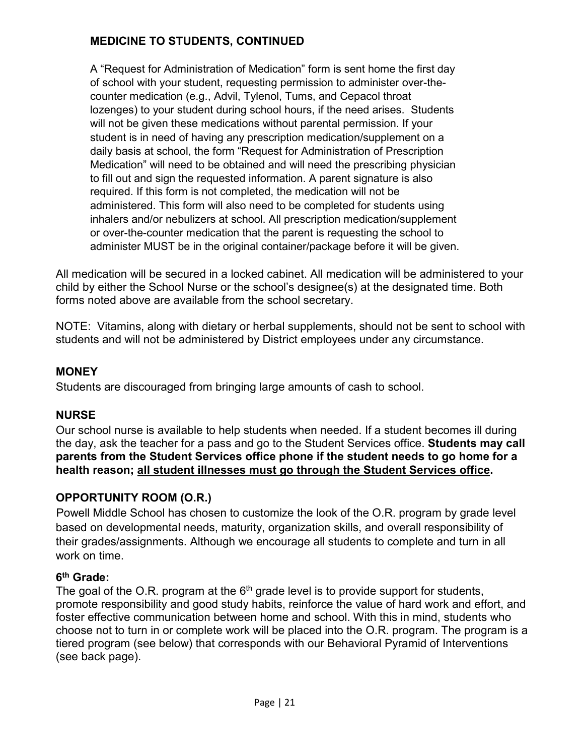# **MEDICINE TO STUDENTS, CONTINUED**

A "Request for Administration of Medication" form is sent home the first day of school with your student, requesting permission to administer over-thecounter medication (e.g., Advil, Tylenol, Tums, and Cepacol throat lozenges) to your student during school hours, if the need arises.Students will not be given these medications without parental permission. If your student is in need of having any prescription medication/supplement on a daily basis at school, the form "Request for Administration of Prescription Medication" will need to be obtained and will need the prescribing physician to fill out and sign the requested information. A parent signature is also required. If this form is not completed, the medication will not be administered. This form will also need to be completed for students using inhalers and/or nebulizers at school. All prescription medication/supplement or over-the-counter medication that the parent is requesting the school to administer MUST be in the original container/package before it will be given.

All medication will be secured in a locked cabinet. All medication will be administered to your child by either the School Nurse or the school's designee(s) at the designated time. Both forms noted above are available from the school secretary.

NOTE: Vitamins, along with dietary or herbal supplements, should not be sent to school with students and will not be administered by District employees under any circumstance.

### **MONEY**

Students are discouraged from bringing large amounts of cash to school.

# **NURSE**

Our school nurse is available to help students when needed. If a student becomes ill during the day, ask the teacher for a pass and go to the Student Services office. **Students may call parents from the Student Services office phone if the student needs to go home for a health reason; all student illnesses must go through the Student Services office.**

# **OPPORTUNITY ROOM (O.R.)**

Powell Middle School has chosen to customize the look of the O.R. program by grade level based on developmental needs, maturity, organization skills, and overall responsibility of their grades/assignments. Although we encourage all students to complete and turn in all work on time.

#### **6th Grade:**

The goal of the O.R. program at the  $6<sup>th</sup>$  grade level is to provide support for students, promote responsibility and good study habits, reinforce the value of hard work and effort, and foster effective communication between home and school. With this in mind, students who choose not to turn in or complete work will be placed into the O.R. program. The program is a tiered program (see below) that corresponds with our Behavioral Pyramid of Interventions (see back page).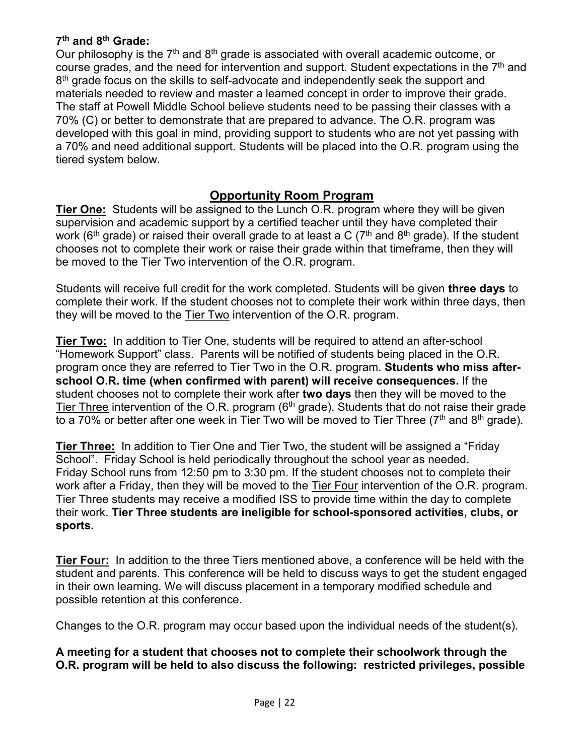#### **7th and 8th Grade:**

Our philosophy is the  $7<sup>th</sup>$  and  $8<sup>th</sup>$  grade is associated with overall academic outcome, or course grades, and the need for intervention and support. Student expectations in the  $7<sup>th</sup>$  and 8<sup>th</sup> grade focus on the skills to self-advocate and independently seek the support and materials needed to review and master a learned concept in order to improve their grade. The staff at Powell Middle School believe students need to be passing their classes with a 70% (C) or better to demonstrate that are prepared to advance. The O.R. program was developed with this goal in mind, providing support to students who are not yet passing with a 70% and need additional support. Students will be placed into the O.R. program using the tiered system below.

### **Opportunity Room Program**

**Tier One:** Students will be assigned to the Lunch O.R. program where they will be given supervision and academic support by a certified teacher until they have completed their work (6<sup>th</sup> grade) or raised their overall grade to at least a C (7<sup>th</sup> and 8<sup>th</sup> grade). If the student chooses not to complete their work or raise their grade within that timeframe, then they will be moved to the Tier Two intervention of the O.R. program.

Students will receive full credit for the work completed. Students will be given **three days** to complete their work. If the student chooses not to complete their work within three days, then they will be moved to the Tier Two intervention of the O.R. program.

**Tier Two:** In addition to Tier One, students will be required to attend an after-school "Homework Support" class. Parents will be notified of students being placed in the O.R. program once they are referred to Tier Two in the O.R. program. **Students who miss afterschool O.R. time (when confirmed with parent) will receive consequences.** If the student chooses not to complete their work after **two days** then they will be moved to the Tier Three intervention of the O.R. program  $6<sup>th</sup>$  grade). Students that do not raise their grade to a 70% or better after one week in Tier Two will be moved to Tier Three ( $7<sup>th</sup>$  and  $8<sup>th</sup>$  grade).

**Tier Three:** In addition to Tier One and Tier Two, the student will be assigned a "Friday School". Friday School is held periodically throughout the school year as needed. Friday School runs from 12:50 pm to 3:30 pm. If the student chooses not to complete their work after a Friday, then they will be moved to the Tier Four intervention of the O.R. program. Tier Three students may receive a modified ISS to provide time within the day to complete their work. **Tier Three students are ineligible for school-sponsored activities, clubs, or sports.**

**Tier Four:** In addition to the three Tiers mentioned above, a conference will be held with the student and parents. This conference will be held to discuss ways to get the student engaged in their own learning. We will discuss placement in a temporary modified schedule and possible retention at this conference.

Changes to the O.R. program may occur based upon the individual needs of the student(s).

**A meeting for a student that chooses not to complete their schoolwork through the O.R. program will be held to also discuss the following: restricted privileges, possible**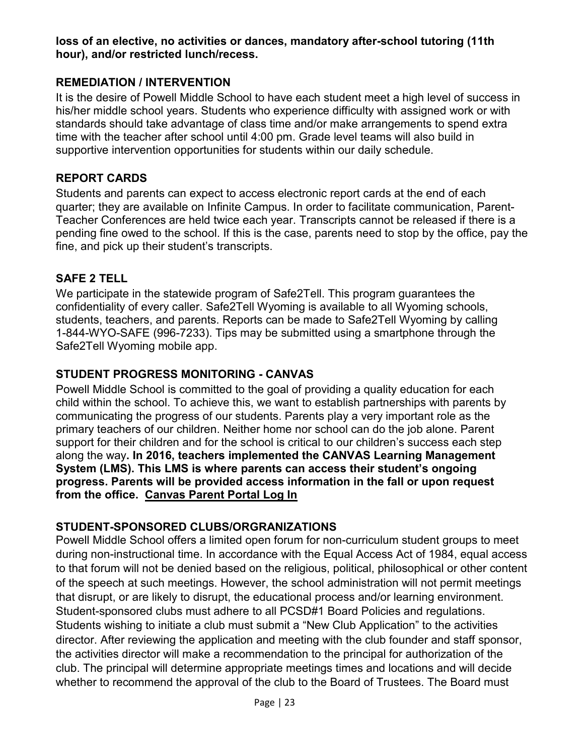#### **loss of an elective, no activities or dances, mandatory after-school tutoring (11th hour), and/or restricted lunch/recess.**

#### **REMEDIATION / INTERVENTION**

It is the desire of Powell Middle School to have each student meet a high level of success in his/her middle school years. Students who experience difficulty with assigned work or with standards should take advantage of class time and/or make arrangements to spend extra time with the teacher after school until 4:00 pm. Grade level teams will also build in supportive intervention opportunities for students within our daily schedule.

#### **REPORT CARDS**

Students and parents can expect to access electronic report cards at the end of each quarter; they are available on Infinite Campus. In order to facilitate communication, Parent-Teacher Conferences are held twice each year. Transcripts cannot be released if there is a pending fine owed to the school. If this is the case, parents need to stop by the office, pay the fine, and pick up their student's transcripts.

#### **SAFE 2 TELL**

We participate in the statewide program of Safe2Tell. This program guarantees the confidentiality of every caller. Safe2Tell Wyoming is available to all Wyoming schools, students, teachers, and parents. Reports can be made to Safe2Tell Wyoming by calling 1-844-WYO-SAFE (996-7233). Tips may be submitted using a smartphone through the Safe2Tell Wyoming mobile app.

#### **STUDENT PROGRESS MONITORING - CANVAS**

Powell Middle School is committed to the goal of providing a quality education for each child within the school. To achieve this, we want to establish partnerships with parents by communicating the progress of our students. Parents play a very important role as the primary teachers of our children. Neither home nor school can do the job alone. Parent support for their children and for the school is critical to our children's success each step along the way**. In 2016, teachers implemented the CANVAS Learning Management System (LMS). This LMS is where parents can access their student's ongoing progress. Parents will be provided access information in the fall or upon request from the office. [Canvas Parent Portal Log In](https://pcsd1.instructure.com/login/canvas)**

#### **STUDENT-SPONSORED CLUBS/ORGRANIZATIONS**

Powell Middle School offers a limited open forum for non-curriculum student groups to meet during non-instructional time. In accordance with the Equal Access Act of 1984, equal access to that forum will not be denied based on the religious, political, philosophical or other content of the speech at such meetings. However, the school administration will not permit meetings that disrupt, or are likely to disrupt, the educational process and/or learning environment. Student-sponsored clubs must adhere to all PCSD#1 Board Policies and regulations. Students wishing to initiate a club must submit a "New Club Application" to the activities director. After reviewing the application and meeting with the club founder and staff sponsor, the activities director will make a recommendation to the principal for authorization of the club. The principal will determine appropriate meetings times and locations and will decide whether to recommend the approval of the club to the Board of Trustees. The Board must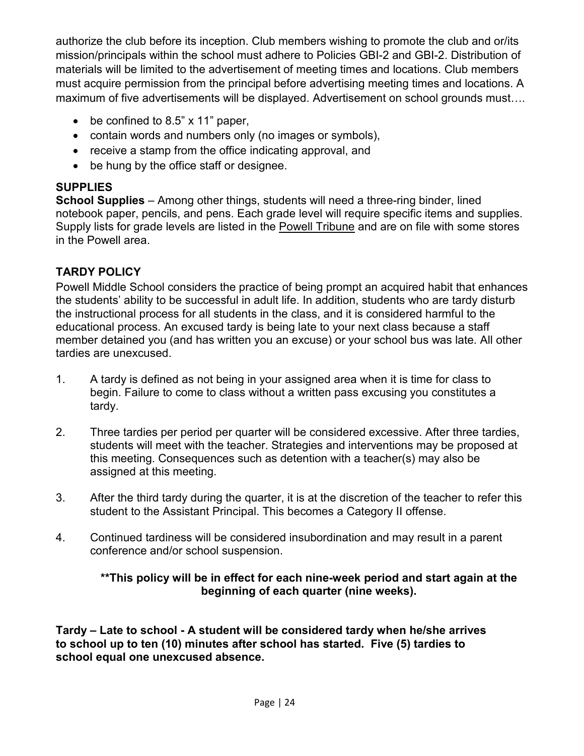authorize the club before its inception. Club members wishing to promote the club and or/its mission/principals within the school must adhere to Policies GBI-2 and GBI-2. Distribution of materials will be limited to the advertisement of meeting times and locations. Club members must acquire permission from the principal before advertising meeting times and locations. A maximum of five advertisements will be displayed. Advertisement on school grounds must….

- be confined to 8.5" x 11" paper,
- contain words and numbers only (no images or symbols),
- receive a stamp from the office indicating approval, and
- be hung by the office staff or designee.

# **SUPPLIES**

**School Supplies** – Among other things, students will need a three-ring binder, lined notebook paper, pencils, and pens. Each grade level will require specific items and supplies. Supply lists for grade levels are listed in the Powell Tribune and are on file with some stores in the Powell area.

# **TARDY POLICY**

Powell Middle School considers the practice of being prompt an acquired habit that enhances the students' ability to be successful in adult life. In addition, students who are tardy disturb the instructional process for all students in the class, and it is considered harmful to the educational process. An excused tardy is being late to your next class because a staff member detained you (and has written you an excuse) or your school bus was late. All other tardies are unexcused.

- 1. A tardy is defined as not being in your assigned area when it is time for class to begin. Failure to come to class without a written pass excusing you constitutes a tardy.
- 2. Three tardies per period per quarter will be considered excessive. After three tardies, students will meet with the teacher. Strategies and interventions may be proposed at this meeting. Consequences such as detention with a teacher(s) may also be assigned at this meeting.
- 3. After the third tardy during the quarter, it is at the discretion of the teacher to refer this student to the Assistant Principal. This becomes a Category II offense.
- 4. Continued tardiness will be considered insubordination and may result in a parent conference and/or school suspension.

# **\*\*This policy will be in effect for each nine-week period and start again at the beginning of each quarter (nine weeks).**

**Tardy – Late to school - A student will be considered tardy when he/she arrives to school up to ten (10) minutes after school has started. Five (5) tardies to school equal one unexcused absence.**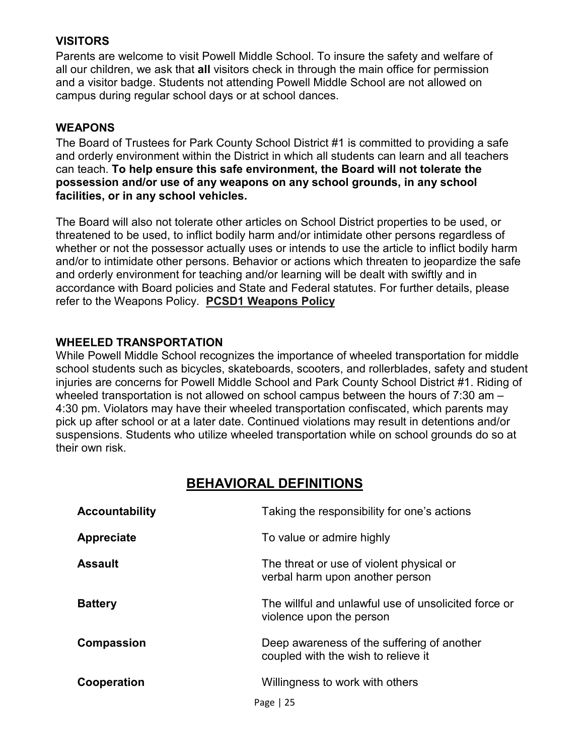#### **VISITORS**

Parents are welcome to visit Powell Middle School. To insure the safety and welfare of all our children, we ask that **all** visitors check in through the main office for permission and a visitor badge. Students not attending Powell Middle School are not allowed on campus during regular school days or at school dances.

#### **WEAPONS**

The Board of Trustees for Park County School District #1 is committed to providing a safe and orderly environment within the District in which all students can learn and all teachers can teach. **To help ensure this safe environment, the Board will not tolerate the possession and/or use of any weapons on any school grounds, in any school facilities, or in any school vehicles.**

The Board will also not tolerate other articles on School District properties to be used, or threatened to be used, to inflict bodily harm and/or intimidate other persons regardless of whether or not the possessor actually uses or intends to use the article to inflict bodily harm and/or to intimidate other persons. Behavior or actions which threaten to jeopardize the safe and orderly environment for teaching and/or learning will be dealt with swiftly and in accordance with Board policies and State and Federal statutes. For further details, please refer to the Weapons Policy. **[PCSD1 Weapons Policy](https://drive.google.com/drive/folders/0B_jM9DxWhrXlQXppd3hTalhqdGc)**

#### **WHEELED TRANSPORTATION**

While Powell Middle School recognizes the importance of wheeled transportation for middle school students such as bicycles, skateboards, scooters, and rollerblades, safety and student injuries are concerns for Powell Middle School and Park County School District #1. Riding of wheeled transportation is not allowed on school campus between the hours of 7:30 am – 4:30 pm. Violators may have their wheeled transportation confiscated, which parents may pick up after school or at a later date. Continued violations may result in detentions and/or suspensions. Students who utilize wheeled transportation while on school grounds do so at their own risk.

# **BEHAVIORAL DEFINITIONS**

| <b>Accountability</b> | Taking the responsibility for one's actions                                       |
|-----------------------|-----------------------------------------------------------------------------------|
| Appreciate            | To value or admire highly                                                         |
| <b>Assault</b>        | The threat or use of violent physical or<br>verbal harm upon another person       |
| <b>Battery</b>        | The willful and unlawful use of unsolicited force or<br>violence upon the person  |
| Compassion            | Deep awareness of the suffering of another<br>coupled with the wish to relieve it |
| Cooperation           | Willingness to work with others                                                   |
|                       | Page $ 25$                                                                        |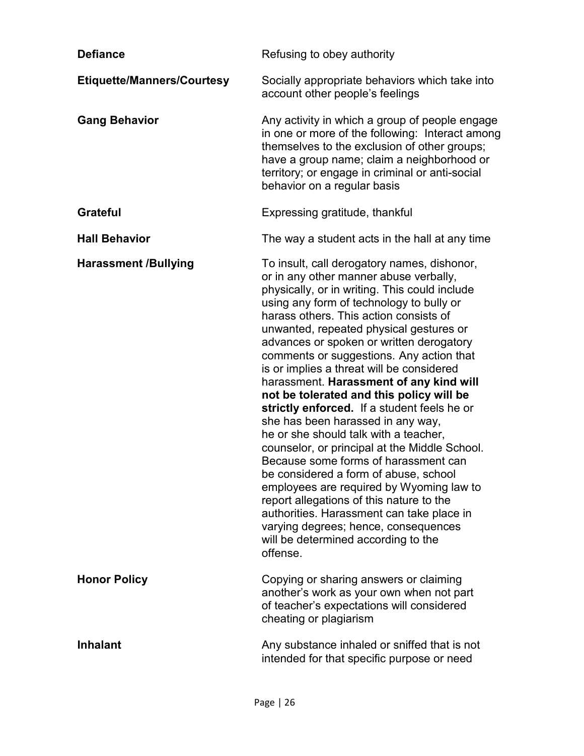| <b>Defiance</b>                   | Refusing to obey authority                                                                                                                                                                                                                                                                                                                                                                                                                                                                                                                                                                                                                                                                                                                                                                                                                                                                                                                                                                         |
|-----------------------------------|----------------------------------------------------------------------------------------------------------------------------------------------------------------------------------------------------------------------------------------------------------------------------------------------------------------------------------------------------------------------------------------------------------------------------------------------------------------------------------------------------------------------------------------------------------------------------------------------------------------------------------------------------------------------------------------------------------------------------------------------------------------------------------------------------------------------------------------------------------------------------------------------------------------------------------------------------------------------------------------------------|
| <b>Etiquette/Manners/Courtesy</b> | Socially appropriate behaviors which take into<br>account other people's feelings                                                                                                                                                                                                                                                                                                                                                                                                                                                                                                                                                                                                                                                                                                                                                                                                                                                                                                                  |
| <b>Gang Behavior</b>              | Any activity in which a group of people engage<br>in one or more of the following: Interact among<br>themselves to the exclusion of other groups;<br>have a group name; claim a neighborhood or<br>territory; or engage in criminal or anti-social<br>behavior on a regular basis                                                                                                                                                                                                                                                                                                                                                                                                                                                                                                                                                                                                                                                                                                                  |
| <b>Grateful</b>                   | Expressing gratitude, thankful                                                                                                                                                                                                                                                                                                                                                                                                                                                                                                                                                                                                                                                                                                                                                                                                                                                                                                                                                                     |
| <b>Hall Behavior</b>              | The way a student acts in the hall at any time                                                                                                                                                                                                                                                                                                                                                                                                                                                                                                                                                                                                                                                                                                                                                                                                                                                                                                                                                     |
| <b>Harassment /Bullying</b>       | To insult, call derogatory names, dishonor,<br>or in any other manner abuse verbally,<br>physically, or in writing. This could include<br>using any form of technology to bully or<br>harass others. This action consists of<br>unwanted, repeated physical gestures or<br>advances or spoken or written derogatory<br>comments or suggestions. Any action that<br>is or implies a threat will be considered<br>harassment. Harassment of any kind will<br>not be tolerated and this policy will be<br>strictly enforced. If a student feels he or<br>she has been harassed in any way,<br>he or she should talk with a teacher,<br>counselor, or principal at the Middle School.<br>Because some forms of harassment can<br>be considered a form of abuse, school<br>employees are required by Wyoming law to<br>report allegations of this nature to the<br>authorities. Harassment can take place in<br>varying degrees; hence, consequences<br>will be determined according to the<br>offense. |
| <b>Honor Policy</b>               | Copying or sharing answers or claiming<br>another's work as your own when not part<br>of teacher's expectations will considered<br>cheating or plagiarism                                                                                                                                                                                                                                                                                                                                                                                                                                                                                                                                                                                                                                                                                                                                                                                                                                          |
| <b>Inhalant</b>                   | Any substance inhaled or sniffed that is not<br>intended for that specific purpose or need                                                                                                                                                                                                                                                                                                                                                                                                                                                                                                                                                                                                                                                                                                                                                                                                                                                                                                         |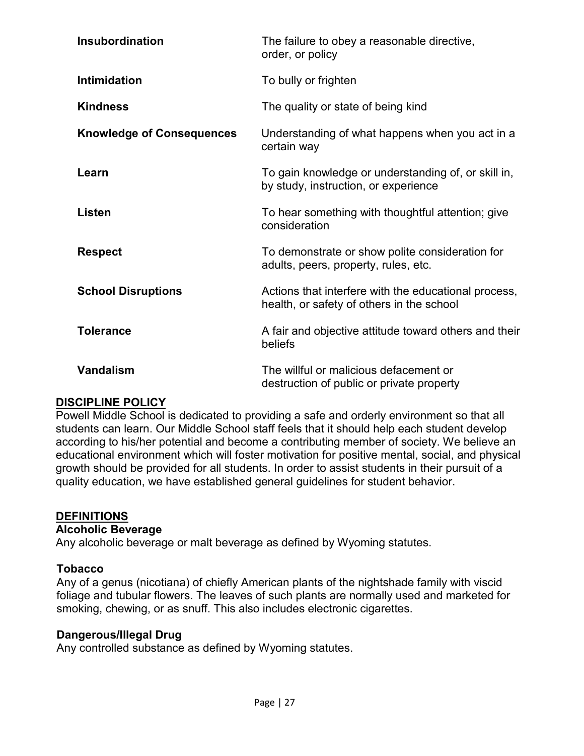| Insubordination                  | The failure to obey a reasonable directive,<br>order, or policy                                   |
|----------------------------------|---------------------------------------------------------------------------------------------------|
| <b>Intimidation</b>              | To bully or frighten                                                                              |
| <b>Kindness</b>                  | The quality or state of being kind                                                                |
| <b>Knowledge of Consequences</b> | Understanding of what happens when you act in a<br>certain way                                    |
| Learn                            | To gain knowledge or understanding of, or skill in,<br>by study, instruction, or experience       |
| Listen                           | To hear something with thoughtful attention; give<br>consideration                                |
| <b>Respect</b>                   | To demonstrate or show polite consideration for<br>adults, peers, property, rules, etc.           |
| <b>School Disruptions</b>        | Actions that interfere with the educational process,<br>health, or safety of others in the school |
| <b>Tolerance</b>                 | A fair and objective attitude toward others and their<br>beliefs                                  |
| <b>Vandalism</b>                 | The willful or malicious defacement or<br>destruction of public or private property               |

#### **DISCIPLINE POLICY**

Powell Middle School is dedicated to providing a safe and orderly environment so that all students can learn. Our Middle School staff feels that it should help each student develop according to his/her potential and become a contributing member of society. We believe an educational environment which will foster motivation for positive mental, social, and physical growth should be provided for all students. In order to assist students in their pursuit of a quality education, we have established general guidelines for student behavior.

#### **DEFINITIONS**

#### **Alcoholic Beverage**

Any alcoholic beverage or malt beverage as defined by Wyoming statutes.

#### **Tobacco**

Any of a genus (nicotiana) of chiefly American plants of the nightshade family with viscid foliage and tubular flowers. The leaves of such plants are normally used and marketed for smoking, chewing, or as snuff. This also includes electronic cigarettes.

#### **Dangerous/Illegal Drug**

Any controlled substance as defined by Wyoming statutes.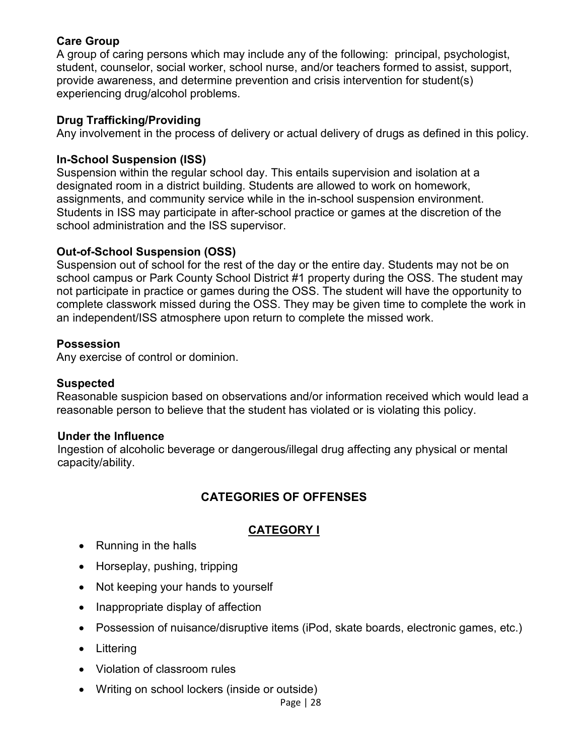#### **Care Group**

A group of caring persons which may include any of the following: principal, psychologist, student, counselor, social worker, school nurse, and/or teachers formed to assist, support, provide awareness, and determine prevention and crisis intervention for student(s) experiencing drug/alcohol problems.

#### **Drug Trafficking/Providing**

Any involvement in the process of delivery or actual delivery of drugs as defined in this policy.

#### **In-School Suspension (ISS)**

Suspension within the regular school day. This entails supervision and isolation at a designated room in a district building. Students are allowed to work on homework, assignments, and community service while in the in-school suspension environment. Students in ISS may participate in after-school practice or games at the discretion of the school administration and the ISS supervisor.

#### **Out-of-School Suspension (OSS)**

Suspension out of school for the rest of the day or the entire day. Students may not be on school campus or Park County School District #1 property during the OSS. The student may not participate in practice or games during the OSS. The student will have the opportunity to complete classwork missed during the OSS. They may be given time to complete the work in an independent/ISS atmosphere upon return to complete the missed work.

#### **Possession**

Any exercise of control or dominion.

#### **Suspected**

Reasonable suspicion based on observations and/or information received which would lead a reasonable person to believe that the student has violated or is violating this policy.

#### **Under the Influence**

Ingestion of alcoholic beverage or dangerous/illegal drug affecting any physical or mental capacity/ability.

# **CATEGORIES OF OFFENSES**

# **CATEGORY I**

- Running in the halls
- Horseplay, pushing, tripping
- Not keeping your hands to yourself
- Inappropriate display of affection
- Possession of nuisance/disruptive items (iPod, skate boards, electronic games, etc.)
- Littering
- Violation of classroom rules
- Writing on school lockers (inside or outside)

Page | 28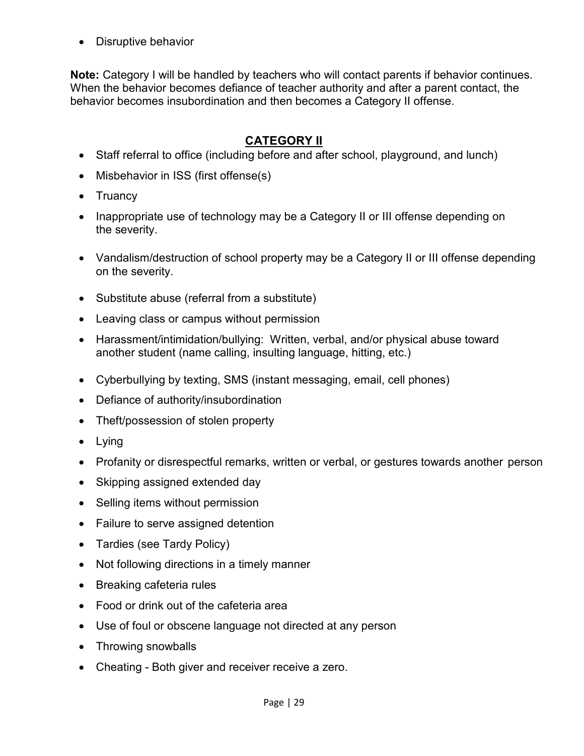• Disruptive behavior

**Note:** Category I will be handled by teachers who will contact parents if behavior continues. When the behavior becomes defiance of teacher authority and after a parent contact, the behavior becomes insubordination and then becomes a Category II offense.

# **CATEGORY II**

- Staff referral to office (including before and after school, playground, and lunch)
- Misbehavior in ISS (first offense(s)
- Truancy
- Inappropriate use of technology may be a Category II or III offense depending on the severity.
- Vandalism/destruction of school property may be a Category II or III offense depending on the severity.
- Substitute abuse (referral from a substitute)
- Leaving class or campus without permission
- Harassment/intimidation/bullying: Written, verbal, and/or physical abuse toward another student (name calling, insulting language, hitting, etc.)
- Cyberbullying by texting, SMS (instant messaging, email, cell phones)
- Defiance of authority/insubordination
- Theft/possession of stolen property
- Lying
- Profanity or disrespectful remarks, written or verbal, or gestures towards another person
- Skipping assigned extended day
- Selling items without permission
- Failure to serve assigned detention
- Tardies (see Tardy Policy)
- Not following directions in a timely manner
- Breaking cafeteria rules
- Food or drink out of the cafeteria area
- Use of foul or obscene language not directed at any person
- Throwing snowballs
- Cheating Both giver and receiver receive a zero.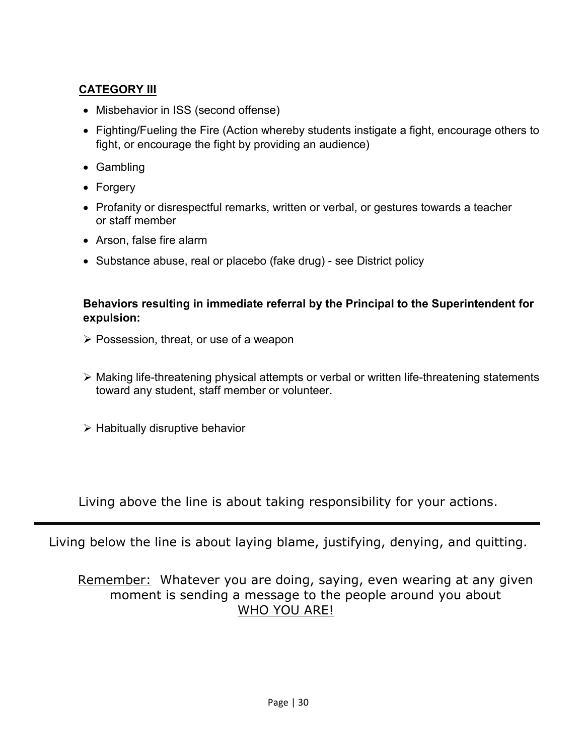# **CATEGORY III**

- Misbehavior in ISS (second offense)
- Fighting/Fueling the Fire (Action whereby students instigate a fight, encourage others to fight, or encourage the fight by providing an audience)
- Gambling
- Forgery
- Profanity or disrespectful remarks, written or verbal, or gestures towards a teacher or staff member
- Arson, false fire alarm
- Substance abuse, real or placebo (fake drug) see District policy

#### **Behaviors resulting in immediate referral by the Principal to the Superintendent for expulsion:**

- Possession, threat, or use of a weapon
- Making life-threatening physical attempts or verbal or written life-threatening statements toward any student, staff member or volunteer.
- $\triangleright$  Habitually disruptive behavior

Living above the line is about taking responsibility for your actions.

Living below the line is about laying blame, justifying, denying, and quitting.

# Remember: Whatever you are doing, saying, even wearing at any given moment is sending a message to the people around you about WHO YOU ARE!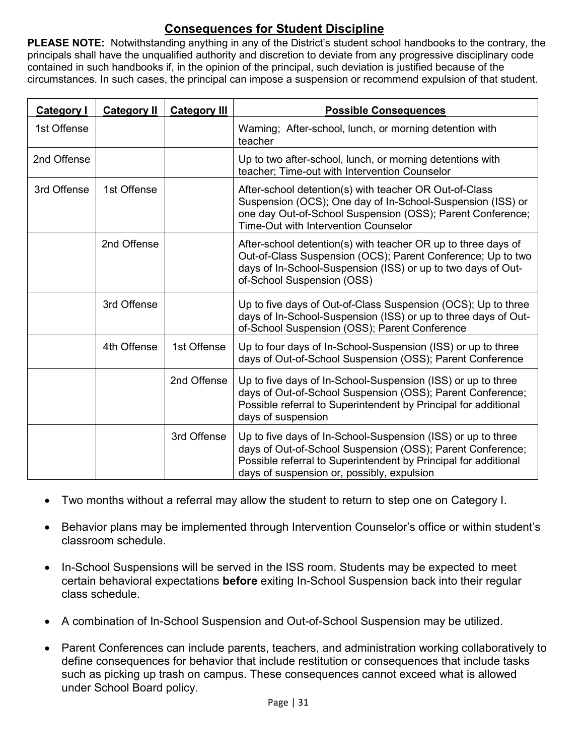# **Consequences for Student Discipline**

**PLEASE NOTE:** Notwithstanding anything in any of the District's student school handbooks to the contrary, the principals shall have the unqualified authority and discretion to deviate from any progressive disciplinary code contained in such handbooks if, in the opinion of the principal, such deviation is justified because of the circumstances. In such cases, the principal can impose a suspension or recommend expulsion of that student.

| <b>Category I</b> | <b>Category II</b> | <b>Category III</b> | <b>Possible Consequences</b>                                                                                                                                                                                                                |
|-------------------|--------------------|---------------------|---------------------------------------------------------------------------------------------------------------------------------------------------------------------------------------------------------------------------------------------|
| 1st Offense       |                    |                     | Warning; After-school, lunch, or morning detention with<br>teacher                                                                                                                                                                          |
| 2nd Offense       |                    |                     | Up to two after-school, lunch, or morning detentions with<br>teacher; Time-out with Intervention Counselor                                                                                                                                  |
| 3rd Offense       | 1st Offense        |                     | After-school detention(s) with teacher OR Out-of-Class<br>Suspension (OCS); One day of In-School-Suspension (ISS) or<br>one day Out-of-School Suspension (OSS); Parent Conference;<br><b>Time-Out with Intervention Counselor</b>           |
|                   | 2nd Offense        |                     | After-school detention(s) with teacher OR up to three days of<br>Out-of-Class Suspension (OCS); Parent Conference; Up to two<br>days of In-School-Suspension (ISS) or up to two days of Out-<br>of-School Suspension (OSS)                  |
|                   | 3rd Offense        |                     | Up to five days of Out-of-Class Suspension (OCS); Up to three<br>days of In-School-Suspension (ISS) or up to three days of Out-<br>of-School Suspension (OSS); Parent Conference                                                            |
|                   | 4th Offense        | 1st Offense         | Up to four days of In-School-Suspension (ISS) or up to three<br>days of Out-of-School Suspension (OSS); Parent Conference                                                                                                                   |
|                   |                    | 2nd Offense         | Up to five days of In-School-Suspension (ISS) or up to three<br>days of Out-of-School Suspension (OSS); Parent Conference;<br>Possible referral to Superintendent by Principal for additional<br>days of suspension                         |
|                   |                    | 3rd Offense         | Up to five days of In-School-Suspension (ISS) or up to three<br>days of Out-of-School Suspension (OSS); Parent Conference;<br>Possible referral to Superintendent by Principal for additional<br>days of suspension or, possibly, expulsion |

- Two months without a referral may allow the student to return to step one on Category I.
- Behavior plans may be implemented through Intervention Counselor's office or within student's classroom schedule.
- In-School Suspensions will be served in the ISS room. Students may be expected to meet certain behavioral expectations **before** exiting In-School Suspension back into their regular class schedule.
- A combination of In-School Suspension and Out-of-School Suspension may be utilized.
- Parent Conferences can include parents, teachers, and administration working collaboratively to define consequences for behavior that include restitution or consequences that include tasks such as picking up trash on campus. These consequences cannot exceed what is allowed under School Board policy.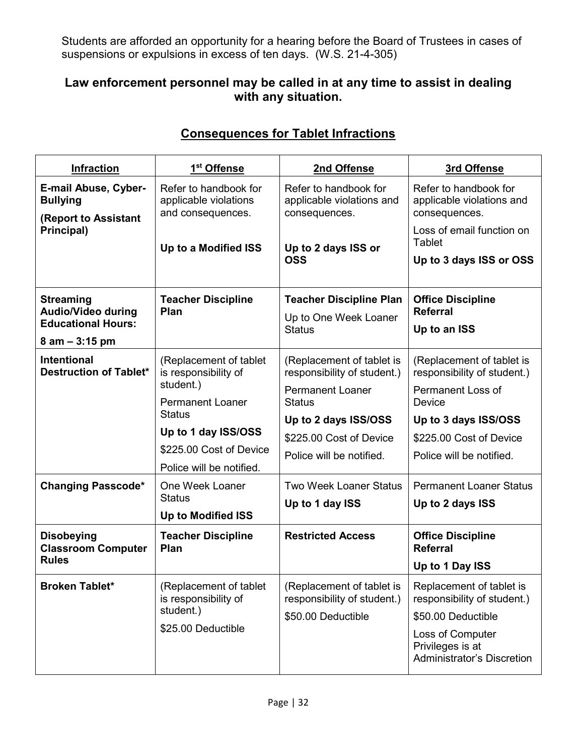Students are afforded an opportunity for a hearing before the Board of Trustees in cases of suspensions or expulsions in excess of ten days. (W.S. 21-4-305)

# **Law enforcement personnel may be called in at any time to assist in dealing with any situation.**

| <b>Infraction</b>                                                             | 1 <sup>st</sup> Offense                                                           | 2nd Offense                                                                                          | 3rd Offense                                                                                                                                                |
|-------------------------------------------------------------------------------|-----------------------------------------------------------------------------------|------------------------------------------------------------------------------------------------------|------------------------------------------------------------------------------------------------------------------------------------------------------------|
| <b>E-mail Abuse, Cyber-</b><br><b>Bullying</b><br><b>(Report to Assistant</b> | Refer to handbook for<br>applicable violations<br>and consequences.               | Refer to handbook for<br>applicable violations and<br>consequences.                                  | Refer to handbook for<br>applicable violations and<br>consequences.                                                                                        |
| Principal)                                                                    | Up to a Modified ISS                                                              | Up to 2 days ISS or<br><b>OSS</b>                                                                    | Loss of email function on<br>Tablet                                                                                                                        |
|                                                                               |                                                                                   |                                                                                                      | Up to 3 days ISS or OSS                                                                                                                                    |
| <b>Streaming</b><br><b>Audio/Video during</b>                                 | <b>Teacher Discipline</b><br>Plan                                                 | <b>Teacher Discipline Plan</b><br>Up to One Week Loaner<br><b>Status</b>                             | <b>Office Discipline</b><br><b>Referral</b>                                                                                                                |
| <b>Educational Hours:</b><br>$8$ am $-$ 3:15 pm                               |                                                                                   |                                                                                                      | Up to an ISS                                                                                                                                               |
| <b>Intentional</b><br><b>Destruction of Tablet*</b>                           | (Replacement of tablet<br>is responsibility of<br>student.)                       | (Replacement of tablet is<br>responsibility of student.)<br><b>Permanent Loaner</b><br><b>Status</b> | (Replacement of tablet is<br>responsibility of student.)                                                                                                   |
|                                                                               | <b>Permanent Loaner</b>                                                           |                                                                                                      | Permanent Loss of<br>Device                                                                                                                                |
|                                                                               | <b>Status</b>                                                                     | Up to 2 days ISS/OSS                                                                                 | Up to 3 days ISS/OSS                                                                                                                                       |
|                                                                               | Up to 1 day ISS/OSS                                                               | \$225.00 Cost of Device                                                                              | \$225.00 Cost of Device                                                                                                                                    |
|                                                                               | \$225.00 Cost of Device                                                           | Police will be notified.                                                                             | Police will be notified.                                                                                                                                   |
|                                                                               | Police will be notified.                                                          |                                                                                                      |                                                                                                                                                            |
| <b>Changing Passcode*</b>                                                     | One Week Loaner<br><b>Status</b>                                                  | <b>Two Week Loaner Status</b><br>Up to 1 day ISS                                                     | <b>Permanent Loaner Status</b>                                                                                                                             |
|                                                                               | <b>Up to Modified ISS</b>                                                         |                                                                                                      | Up to 2 days ISS                                                                                                                                           |
|                                                                               |                                                                                   |                                                                                                      |                                                                                                                                                            |
| <b>Disobeying</b><br><b>Classroom Computer</b>                                | <b>Teacher Discipline</b><br>Plan                                                 | <b>Restricted Access</b>                                                                             | <b>Office Discipline</b><br><b>Referral</b>                                                                                                                |
| <b>Rules</b>                                                                  |                                                                                   |                                                                                                      | Up to 1 Day ISS                                                                                                                                            |
| <b>Broken Tablet*</b>                                                         | (Replacement of tablet<br>is responsibility of<br>student.)<br>\$25.00 Deductible | (Replacement of tablet is<br>responsibility of student.)<br>\$50.00 Deductible                       | Replacement of tablet is<br>responsibility of student.)<br>\$50.00 Deductible<br>Loss of Computer<br>Privileges is at<br><b>Administrator's Discretion</b> |

# **Consequences for Tablet Infractions**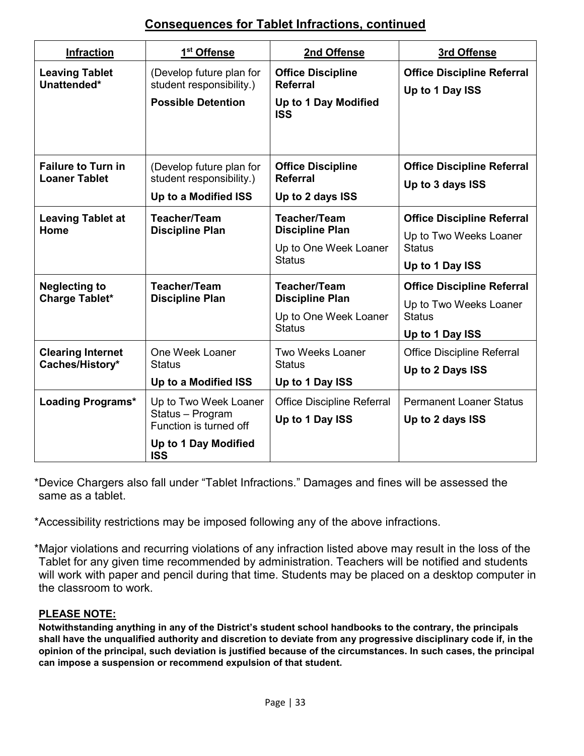# **Consequences for Tablet Infractions, continued**

| <b>Infraction</b>                                 | 1 <sup>st</sup> Offense                                                                                   | 2nd Offense                                                                             | 3rd Offense                                                                                     |
|---------------------------------------------------|-----------------------------------------------------------------------------------------------------------|-----------------------------------------------------------------------------------------|-------------------------------------------------------------------------------------------------|
| <b>Leaving Tablet</b><br>Unattended*              | (Develop future plan for<br>student responsibility.)<br><b>Possible Detention</b>                         | <b>Office Discipline</b><br><b>Referral</b><br>Up to 1 Day Modified<br><b>ISS</b>       | <b>Office Discipline Referral</b><br>Up to 1 Day ISS                                            |
| <b>Failure to Turn in</b><br><b>Loaner Tablet</b> | (Develop future plan for<br>student responsibility.)<br>Up to a Modified ISS                              | <b>Office Discipline</b><br><b>Referral</b><br>Up to 2 days ISS                         | <b>Office Discipline Referral</b><br>Up to 3 days ISS                                           |
| <b>Leaving Tablet at</b><br>Home                  | <b>Teacher/Team</b><br><b>Discipline Plan</b>                                                             | <b>Teacher/Team</b><br><b>Discipline Plan</b><br>Up to One Week Loaner<br><b>Status</b> | <b>Office Discipline Referral</b><br>Up to Two Weeks Loaner<br><b>Status</b><br>Up to 1 Day ISS |
| <b>Neglecting to</b><br><b>Charge Tablet*</b>     | <b>Teacher/Team</b><br><b>Discipline Plan</b>                                                             | <b>Teacher/Team</b><br><b>Discipline Plan</b><br>Up to One Week Loaner<br><b>Status</b> | <b>Office Discipline Referral</b><br>Up to Two Weeks Loaner<br><b>Status</b><br>Up to 1 Day ISS |
| <b>Clearing Internet</b><br>Caches/History*       | One Week Loaner<br><b>Status</b><br>Up to a Modified ISS                                                  | <b>Two Weeks Loaner</b><br><b>Status</b><br>Up to 1 Day ISS                             | <b>Office Discipline Referral</b><br>Up to 2 Days ISS                                           |
| <b>Loading Programs*</b>                          | Up to Two Week Loaner<br>Status - Program<br>Function is turned off<br>Up to 1 Day Modified<br><b>ISS</b> | <b>Office Discipline Referral</b><br>Up to 1 Day ISS                                    | <b>Permanent Loaner Status</b><br>Up to 2 days ISS                                              |

\*Device Chargers also fall under "Tablet Infractions." Damages and fines will be assessed the same as a tablet.

\*Accessibility restrictions may be imposed following any of the above infractions.

\*Major violations and recurring violations of any infraction listed above may result in the loss of the Tablet for any given time recommended by administration. Teachers will be notified and students will work with paper and pencil during that time. Students may be placed on a desktop computer in the classroom to work.

#### **PLEASE NOTE:**

**Notwithstanding anything in any of the District's student school handbooks to the contrary, the principals shall have the unqualified authority and discretion to deviate from any progressive disciplinary code if, in the opinion of the principal, such deviation is justified because of the circumstances. In such cases, the principal can impose a suspension or recommend expulsion of that student.**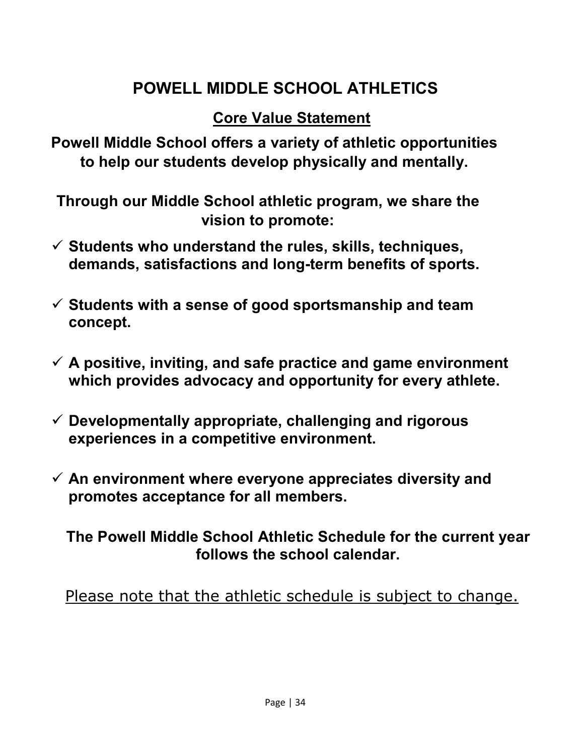# **POWELL MIDDLE SCHOOL ATHLETICS**

# **Core Value Statement**

**Powell Middle School offers a variety of athletic opportunities to help our students develop physically and mentally.**

**Through our Middle School athletic program, we share the vision to promote:**

- **Students who understand the rules, skills, techniques, demands, satisfactions and long-term benefits of sports.**
- **Students with a sense of good sportsmanship and team concept.**
- **A positive, inviting, and safe practice and game environment which provides advocacy and opportunity for every athlete.**
- **Developmentally appropriate, challenging and rigorous experiences in a competitive environment.**
- **An environment where everyone appreciates diversity and promotes acceptance for all members.**

**The Powell Middle School Athletic Schedule for the current year follows the school calendar.**

Please note that the athletic schedule is subject to change.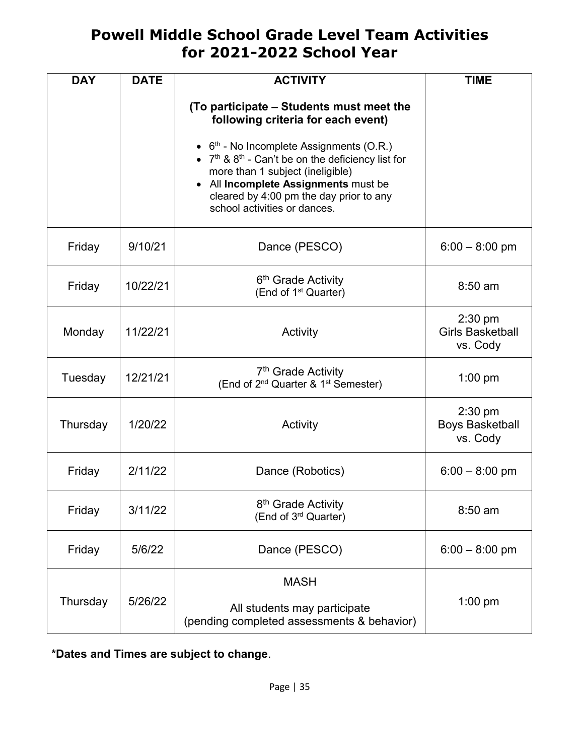# **Powell Middle School Grade Level Team Activities for 2021-2022 School Year**

| <b>DAY</b> | <b>DATE</b> | <b>ACTIVITY</b>                                                                                                                                                                                                                                            | <b>TIME</b>                                      |
|------------|-------------|------------------------------------------------------------------------------------------------------------------------------------------------------------------------------------------------------------------------------------------------------------|--------------------------------------------------|
|            |             | (To participate – Students must meet the<br>following criteria for each event)                                                                                                                                                                             |                                                  |
|            |             | • $6th$ - No Incomplete Assignments (O.R.)<br>• $7th$ & $8th$ - Can't be on the deficiency list for<br>more than 1 subject (ineligible)<br>• All Incomplete Assignments must be<br>cleared by 4:00 pm the day prior to any<br>school activities or dances. |                                                  |
| Friday     | 9/10/21     | Dance (PESCO)                                                                                                                                                                                                                                              | $6:00 - 8:00$ pm                                 |
| Friday     | 10/22/21    | 6 <sup>th</sup> Grade Activity<br>(End of 1 <sup>st</sup> Quarter)                                                                                                                                                                                         | $8:50$ am                                        |
| Monday     | 11/22/21    | Activity                                                                                                                                                                                                                                                   | $2:30$ pm<br><b>Girls Basketball</b><br>vs. Cody |
| Tuesday    | 12/21/21    | 7 <sup>th</sup> Grade Activity<br>(End of 2 <sup>nd</sup> Quarter & 1 <sup>st</sup> Semester)                                                                                                                                                              | $1:00$ pm                                        |
| Thursday   | 1/20/22     | Activity                                                                                                                                                                                                                                                   | $2:30$ pm<br><b>Boys Basketball</b><br>vs. Cody  |
| Friday     | 2/11/22     | Dance (Robotics)                                                                                                                                                                                                                                           | $6:00 - 8:00$ pm                                 |
| Friday     | 3/11/22     | 8 <sup>th</sup> Grade Activity<br>(End of 3rd Quarter)                                                                                                                                                                                                     | $8:50$ am                                        |
| Friday     | 5/6/22      | Dance (PESCO)                                                                                                                                                                                                                                              | $6:00 - 8:00$ pm                                 |
| Thursday   | 5/26/22     | <b>MASH</b><br>All students may participate<br>(pending completed assessments & behavior)                                                                                                                                                                  | $1:00$ pm                                        |

**\*Dates and Times are subject to change**.